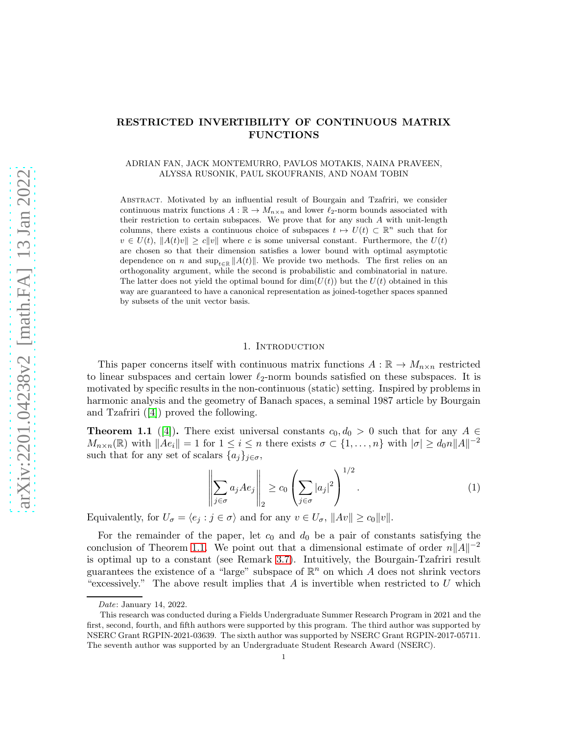# RESTRICTED INVERTIBILITY OF CONTINUOUS MATRIX FUNCTIONS

### ADRIAN FAN, JACK MONTEMURRO, PAVLOS MOTAKIS, NAINA PRAVEEN, ALYSSA RUSONIK, PAUL SKOUFRANIS, AND NOAM TOBIN

Abstract. Motivated by an influential result of Bourgain and Tzafriri, we consider continuous matrix functions  $A : \mathbb{R} \to M_{n \times n}$  and lower  $\ell_2$ -norm bounds associated with their restriction to certain subspaces. We prove that for any such  $A$  with unit-length columns, there exists a continuous choice of subspaces  $t \mapsto U(t) \subset \mathbb{R}^n$  such that for  $v \in U(t)$ ,  $||A(t)v|| \ge c||v||$  where c is some universal constant. Furthermore, the  $U(t)$ are chosen so that their dimension satisfies a lower bound with optimal asymptotic dependence on n and  $\sup_{t\in\mathbb{R}}||A(t)||$ . We provide two methods. The first relies on an orthogonality argument, while the second is probabilistic and combinatorial in nature. The latter does not yield the optimal bound for  $\dim(U(t))$  but the  $U(t)$  obtained in this way are guaranteed to have a canonical representation as joined-together spaces spanned by subsets of the unit vector basis.

### 1. Introduction

This paper concerns itself with continuous matrix functions  $A : \mathbb{R} \to M_{n \times n}$  restricted to linear subspaces and certain lower  $\ell_2$ -norm bounds satisfied on these subspaces. It is motivated by specific results in the non-continuous (static) setting. Inspired by problems in harmonic analysis and the geometry of Banach spaces, a seminal 1987 article by Bourgain and Tzafriri ([\[4\]](#page-21-0)) proved the following.

<span id="page-0-0"></span>**Theorem 1.1** ([\[4\]](#page-21-0)). There exist universal constants  $c_0, d_0 > 0$  such that for any  $A \in$  $M_{n\times n}(\mathbb{R})$  with  $||Ae_i|| = 1$  for  $1 \leq i \leq n$  there exists  $\sigma \subset \{1, \ldots, n\}$  with  $|\sigma| \geq d_0 n ||A||^{-2}$ such that for any set of scalars  $\{a_j\}_{j\in\sigma}$ ,

$$
\left\| \sum_{j \in \sigma} a_j A e_j \right\|_2 \ge c_0 \left( \sum_{j \in \sigma} |a_j|^2 \right)^{1/2} . \tag{1}
$$

Equivalently, for  $U_{\sigma} = \langle e_j : j \in \sigma \rangle$  and for any  $v \in U_{\sigma}$ ,  $||Av|| \ge c_0 ||v||$ .

For the remainder of the paper, let  $c_0$  and  $d_0$  be a pair of constants satisfying the conclusion of Theorem [1.1.](#page-0-0) We point out that a dimensional estimate of order  $n||A||^{-2}$ is optimal up to a constant (see Remark [3.7\)](#page-9-0). Intuitively, the Bourgain-Tzafriri result guarantees the existence of a "large" subspace of  $\mathbb{R}^n$  on which A does not shrink vectors "excessively." The above result implies that A is invertible when restricted to U which

Date: January 14, 2022.

This research was conducted during a Fields Undergraduate Summer Research Program in 2021 and the first, second, fourth, and fifth authors were supported by this program. The third author was supported by NSERC Grant RGPIN-2021-03639. The sixth author was supported by NSERC Grant RGPIN-2017-05711. The seventh author was supported by an Undergraduate Student Research Award (NSERC).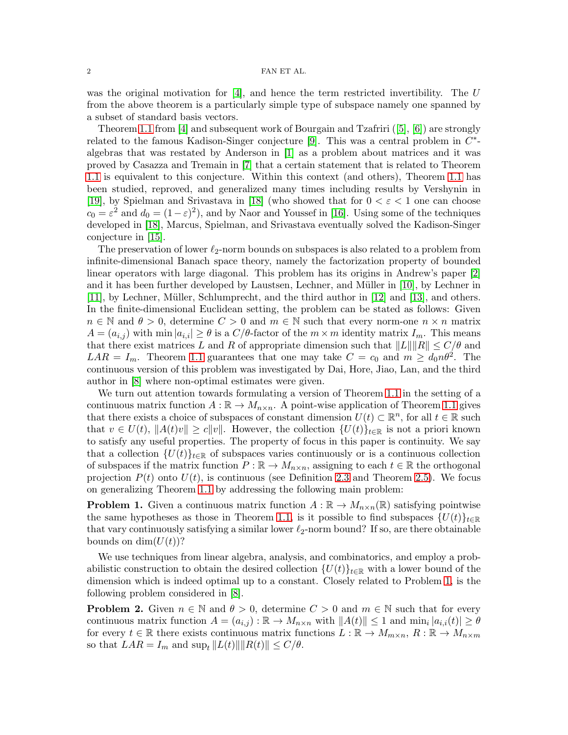was the original motivation for  $[4]$ , and hence the term restricted invertibility. The U from the above theorem is a particularly simple type of subspace namely one spanned by a subset of standard basis vectors.

Theorem [1.1](#page-0-0) from [\[4\]](#page-21-0) and subsequent work of Bourgain and Tzafriri ([\[5\]](#page-21-1), [\[6\]](#page-21-2)) are strongly related to the famous Kadison-Singer conjecture [\[9\]](#page-21-3). This was a central problem in  $C^*$ algebras that was restated by Anderson in [\[1\]](#page-21-4) as a problem about matrices and it was proved by Casazza and Tremain in [\[7\]](#page-21-5) that a certain statement that is related to Theorem [1.1](#page-0-0) is equivalent to this conjecture. Within this context (and others), Theorem [1.1](#page-0-0) has been studied, reproved, and generalized many times including results by Vershynin in [\[19\]](#page-22-0), by Spielman and Srivastava in [\[18\]](#page-22-1) (who showed that for  $0 < \varepsilon < 1$  one can choose  $c_0 = \varepsilon^2$  and  $d_0 = (1 - \varepsilon)^2$ , and by Naor and Youssef in [\[16\]](#page-21-6). Using some of the techniques developed in [\[18\]](#page-22-1), Marcus, Spielman, and Srivastava eventually solved the Kadison-Singer conjecture in [\[15\]](#page-21-7).

The preservation of lower  $\ell_2$ -norm bounds on subspaces is also related to a problem from infinite-dimensional Banach space theory, namely the factorization property of bounded linear operators with large diagonal. This problem has its origins in Andrew's paper [\[2\]](#page-21-8) and it has been further developed by Laustsen, Lechner, and Müller in  $[10]$ , by Lechner in  $[11]$ , by Lechner, Müller, Schlumprecht, and the third author in  $[12]$  and  $[13]$ , and others. In the finite-dimensional Euclidean setting, the problem can be stated as follows: Given  $n \in \mathbb{N}$  and  $\theta > 0$ , determine  $C > 0$  and  $m \in \mathbb{N}$  such that every norm-one  $n \times n$  matrix  $A = (a_{i,j})$  with min  $|a_{i,i}| \geq \theta$  is a  $C/\theta$ -factor of the  $m \times m$  identity matrix  $I_m$ . This means that there exist matrices L and R of appropriate dimension such that  $||L|| ||R|| \leq C/\theta$  and  $LAR = I_m$ . Theorem [1.1](#page-0-0) guarantees that one may take  $C = c_0$  and  $m \geq d_0 n \theta^2$ . The continuous version of this problem was investigated by Dai, Hore, Jiao, Lan, and the third author in [\[8\]](#page-21-13) where non-optimal estimates were given.

We turn out attention towards formulating a version of Theorem [1.1](#page-0-0) in the setting of a continuous matrix function  $A : \mathbb{R} \to M_{n \times n}$ . A point-wise application of Theorem [1.1](#page-0-0) gives that there exists a choice of subspaces of constant dimension  $U(t) \subset \mathbb{R}^n$ , for all  $t \in \mathbb{R}$  such that  $v \in U(t)$ ,  $||A(t)v|| \ge c||v||$ . However, the collection  ${U(t)}_{t \in \mathbb{R}}$  is not a priori known to satisfy any useful properties. The property of focus in this paper is continuity. We say that a collection  $\{U(t)\}_{t\in\mathbb{R}}$  of subspaces varies continuously or is a continuous collection of subspaces if the matrix function  $P : \mathbb{R} \to M_{n \times n}$ , assigning to each  $t \in \mathbb{R}$  the orthogonal projection  $P(t)$  onto  $U(t)$ , is continuous (see Definition [2.3](#page-4-0) and Theorem [2.5\)](#page-4-1). We focus on generalizing Theorem [1.1](#page-0-0) by addressing the following main problem:

<span id="page-1-0"></span>**Problem 1.** Given a continuous matrix function  $A : \mathbb{R} \to M_{n \times n}(\mathbb{R})$  satisfying pointwise the same hypotheses as those in Theorem [1.1,](#page-0-0) is it possible to find subspaces  $\{U(t)\}_{t\in\mathbb{R}}$ that vary continuously satisfying a similar lower  $\ell_2$ -norm bound? If so, are there obtainable bounds on  $\dim(U(t))$ ?

We use techniques from linear algebra, analysis, and combinatorics, and employ a probabilistic construction to obtain the desired collection  ${U(t)}_{t\in\mathbb{R}}$  with a lower bound of the dimension which is indeed optimal up to a constant. Closely related to Problem [1,](#page-1-0) is the following problem considered in [\[8\]](#page-21-13).

<span id="page-1-1"></span>**Problem 2.** Given  $n \in \mathbb{N}$  and  $\theta > 0$ , determine  $C > 0$  and  $m \in \mathbb{N}$  such that for every continuous matrix function  $A = (a_{i,j}) : \mathbb{R} \to M_{n \times n}$  with  $||A(t)|| \leq 1$  and  $\min_i |a_{i,i}(t)| \geq \theta$ for every  $t \in \mathbb{R}$  there exists continuous matrix functions  $L : \mathbb{R} \to M_{m \times n}$ ,  $R : \mathbb{R} \to M_{n \times m}$ so that  $LAR = I_m$  and  $\sup_t ||L(t)|| ||R(t)|| \le C/\theta$ .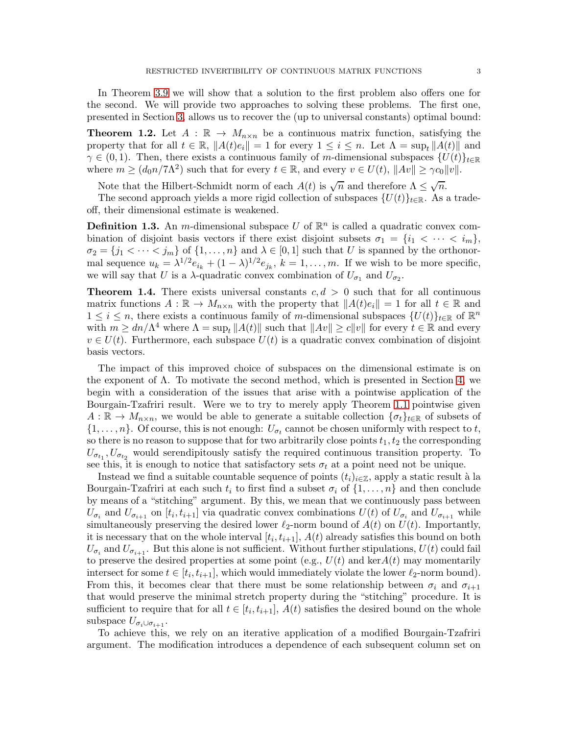In Theorem [3.9](#page-10-0) we will show that a solution to the first problem also offers one for the second. We will provide two approaches to solving these problems. The first one, presented in Section [3,](#page-6-0) allows us to recover the (up to universal constants) optimal bound:

<span id="page-2-0"></span>**Theorem 1.2.** Let  $A : \mathbb{R} \to M_{n \times n}$  be a continuous matrix function, satisfying the property that for all  $t \in \mathbb{R}$ ,  $||A(t)e_i|| = 1$  for every  $1 \leq i \leq n$ . Let  $\Lambda = \sup_t ||A(t)||$  and  $\gamma \in (0,1)$ . Then, there exists a continuous family of m-dimensional subspaces  $\{U(t)\}_{t\in\mathbb{R}}$ where  $m \ge (d_0 n / 7\Lambda^2)$  such that for every  $t \in \mathbb{R}$ , and every  $v \in U(t)$ ,  $||Av|| \ge \gamma c_0 ||v||$ .

Note that the Hilbert-Schmidt norm of each  $A(t)$  is  $\sqrt{n}$  and therefore  $\Lambda \leq \sqrt{n}$ .

The second approach yields a more rigid collection of subspaces  $\{U(t)\}_{t\in\mathbb{R}}$ . As a tradeoff, their dimensional estimate is weakened.

<span id="page-2-2"></span>**Definition 1.3.** An *m*-dimensional subspace U of  $\mathbb{R}^n$  is called a quadratic convex combination of disjoint basis vectors if there exist disjoint subsets  $\sigma_1 = \{i_1 < \cdots < i_m\}$ ,  $\sigma_2 = \{j_1 < \cdots < j_m\}$  of  $\{1, \ldots, n\}$  and  $\lambda \in [0, 1]$  such that U is spanned by the orthonormal sequence  $u_k = \lambda^{1/2} e_{i_k} + (1 - \lambda)^{1/2} e_{j_k}, k = 1, \ldots, m$ . If we wish to be more specific, we will say that U is a  $\lambda$ -quadratic convex combination of  $U_{\sigma_1}$  and  $U_{\sigma_2}$ .

<span id="page-2-1"></span>**Theorem 1.4.** There exists universal constants  $c, d > 0$  such that for all continuous matrix functions  $A: \mathbb{R} \to M_{n \times n}$  with the property that  $||A(t)e_i|| = 1$  for all  $t \in \mathbb{R}$  and  $1 \leq i \leq n$ , there exists a continuous family of m-dimensional subspaces  $\{U(t)\}_{t\in\mathbb{R}}$  of  $\mathbb{R}^n$ with  $m \geq dn/\Lambda^4$  where  $\Lambda = \sup_t ||A(t)||$  such that  $||Av|| \geq c||v||$  for every  $t \in \mathbb{R}$  and every  $v \in U(t)$ . Furthermore, each subspace  $U(t)$  is a quadratic convex combination of disjoint basis vectors.

The impact of this improved choice of subspaces on the dimensional estimate is on the exponent of  $\Lambda$ . To motivate the second method, which is presented in Section [4,](#page-11-0) we begin with a consideration of the issues that arise with a pointwise application of the Bourgain-Tzafriri result. Were we to try to merely apply Theorem [1.1](#page-0-0) pointwise given  $A: \mathbb{R} \to M_{n \times n}$ , we would be able to generate a suitable collection  $\{\sigma_t\}_{t \in \mathbb{R}}$  of subsets of  $\{1, \ldots, n\}$ . Of course, this is not enough:  $U_{\sigma_t}$  cannot be chosen uniformly with respect to t, so there is no reason to suppose that for two arbitrarily close points  $t_1, t_2$  the corresponding  $U_{\sigma_{t_1}}, U_{\sigma_{t_2}}$  would serendipitously satisfy the required continuous transition property. To see this, it is enough to notice that satisfactory sets  $\sigma_t$  at a point need not be unique.

Instead we find a suitable countable sequence of points  $(t_i)_{i\in\mathbb{Z}}$ , apply a static result à la Bourgain-Tzafriri at each such  $t_i$  to first find a subset  $\sigma_i$  of  $\{1, \ldots, n\}$  and then conclude by means of a "stitching" argument. By this, we mean that we continuously pass between  $U_{\sigma_i}$  and  $U_{\sigma_{i+1}}$  on  $[t_i, t_{i+1}]$  via quadratic convex combinations  $U(t)$  of  $U_{\sigma_i}$  and  $U_{\sigma_{i+1}}$  while simultaneously preserving the desired lower  $\ell_2$ -norm bound of  $A(t)$  on  $U(t)$ . Importantly, it is necessary that on the whole interval  $[t_i, t_{i+1}], A(t)$  already satisfies this bound on both  $U_{\sigma_i}$  and  $U_{\sigma_{i+1}}$ . But this alone is not sufficient. Without further stipulations,  $U(t)$  could fail to preserve the desired properties at some point (e.g.,  $U(t)$  and ker $A(t)$  may momentarily intersect for some  $t \in [t_i, t_{i+1}]$ , which would immediately violate the lower  $\ell_2$ -norm bound). From this, it becomes clear that there must be some relationship between  $\sigma_i$  and  $\sigma_{i+1}$ that would preserve the minimal stretch property during the "stitching" procedure. It is sufficient to require that for all  $t \in [t_i, t_{i+1}]$ ,  $A(t)$  satisfies the desired bound on the whole subspace  $U_{\sigma_i \cup \sigma_{i+1}}$ .

To achieve this, we rely on an iterative application of a modified Bourgain-Tzafriri argument. The modification introduces a dependence of each subsequent column set on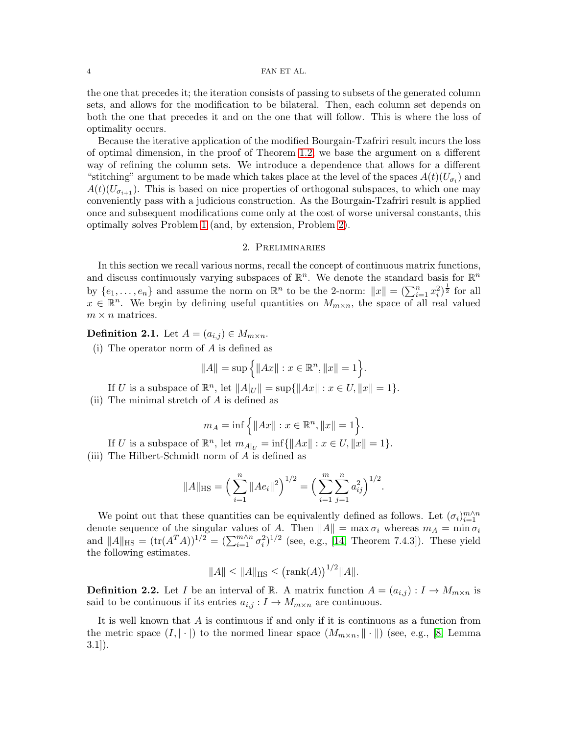the one that precedes it; the iteration consists of passing to subsets of the generated column sets, and allows for the modification to be bilateral. Then, each column set depends on both the one that precedes it and on the one that will follow. This is where the loss of optimality occurs.

Because the iterative application of the modified Bourgain-Tzafriri result incurs the loss of optimal dimension, in the proof of Theorem [1.2,](#page-2-0) we base the argument on a different way of refining the column sets. We introduce a dependence that allows for a different "stitching" argument to be made which takes place at the level of the spaces  $A(t)(U_{\sigma_i})$  and  $A(t)(U_{\sigma_{i+1}})$ . This is based on nice properties of orthogonal subspaces, to which one may conveniently pass with a judicious construction. As the Bourgain-Tzafriri result is applied once and subsequent modifications come only at the cost of worse universal constants, this optimally solves Problem [1](#page-1-0) (and, by extension, Problem [2\)](#page-1-1).

### 2. Preliminaries

In this section we recall various norms, recall the concept of continuous matrix functions, and discuss continuously varying subspaces of  $\mathbb{R}^n$ . We denote the standard basis for  $\mathbb{R}^n$ by  $\{e_1, \ldots, e_n\}$  and assume the norm on  $\mathbb{R}^n$  to be the 2-norm:  $||x|| = \left(\sum_{i=1}^n x_i^2\right)^{\frac{1}{2}}$  for all  $x \in \mathbb{R}^n$ . We begin by defining useful quantities on  $M_{m \times n}$ , the space of all real valued  $m \times n$  matrices.

**Definition 2.1.** Let  $A = (a_{i,j}) \in M_{m \times n}$ .

(i) The operator norm of A is defined as

$$
||A|| = \sup \Big\{ ||Ax|| : x \in \mathbb{R}^n, ||x|| = 1 \Big\}.
$$

If U is a subspace of  $\mathbb{R}^n$ , let  $||A|_U || = \sup{||Ax|| : x \in U, ||x|| = 1}.$ (ii) The minimal stretch of A is defined as

$$
m_A=\inf\Big\{\|Ax\|:x\in\mathbb{R}^n, \|x\|=1\Big\}.
$$

If U is a subspace of  $\mathbb{R}^n$ , let  $m_{A|U} = \inf \{ ||Ax|| : x \in U, ||x|| = 1 \}.$ (iii) The Hilbert-Schmidt norm of A is defined as

$$
||A||_{\text{HS}} = \left(\sum_{i=1}^n ||Ae_i||^2\right)^{1/2} = \left(\sum_{i=1}^m \sum_{j=1}^n a_{ij}^2\right)^{1/2}.
$$

We point out that these quantities can be equivalently defined as follows. Let  $(\sigma_i)_{i=1}^{m \wedge n}$ denote sequence of the singular values of A. Then  $||A|| = \max \sigma_i$  whereas  $m_A = \min \sigma_i$ and  $||A||_{\text{HS}} = (\text{tr}(A^T A))^{1/2} = (\sum_{i=1}^{m \wedge n} \sigma_i^2)^{1/2}$  (see, e.g., [\[14,](#page-21-14) Theorem 7.4.3]). These yield the following estimates.

$$
||A|| \le ||A||_{\text{HS}} \le (\text{rank}(A))^{1/2} ||A||.
$$

**Definition 2.2.** Let I be an interval of R. A matrix function  $A = (a_{i,j}) : I \to M_{m \times n}$  is said to be continuous if its entries  $a_{i,j}: I \to M_{m \times n}$  are continuous.

It is well known that A is continuous if and only if it is continuous as a function from the metric space  $(I, |\cdot|)$  to the normed linear space  $(M_{m \times n}, ||\cdot||)$  (see, e.g., [\[8,](#page-21-13) Lemma 3.1]).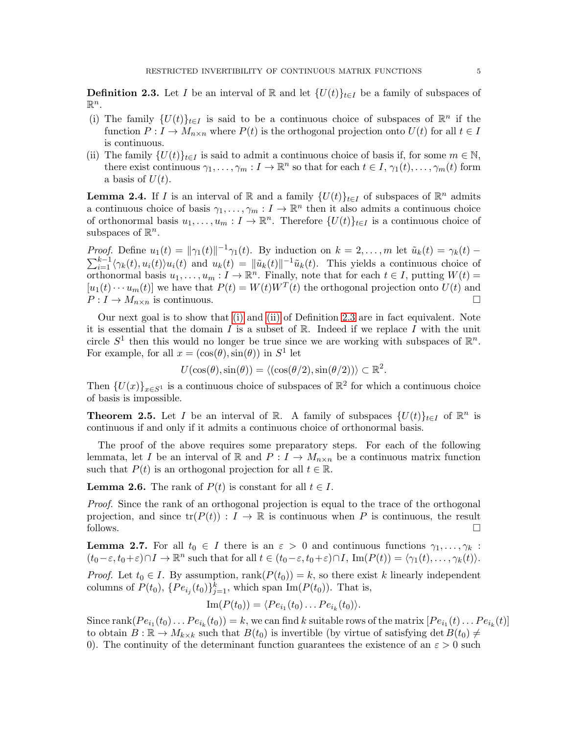<span id="page-4-2"></span><span id="page-4-0"></span>**Definition 2.3.** Let I be an interval of R and let  $\{U(t)\}_{t\in I}$  be a family of subspaces of  $\mathbb{R}^n$ .

- (i) The family  $\{U(t)\}_{t\in I}$  is said to be a continuous choice of subspaces of  $\mathbb{R}^n$  if the function  $P: I \to M_{n \times n}$  where  $P(t)$  is the orthogonal projection onto  $U(t)$  for all  $t \in I$ is continuous.
- <span id="page-4-3"></span>(ii) The family  $\{U(t)\}_{t\in I}$  is said to admit a continuous choice of basis if, for some  $m \in \mathbb{N}$ , there exist continuous  $\gamma_1, \ldots, \gamma_m : I \to \mathbb{R}^n$  so that for each  $t \in I$ ,  $\gamma_1(t), \ldots, \gamma_m(t)$  form a basis of  $U(t)$ .

<span id="page-4-5"></span>**Lemma 2.4.** If I is an interval of  $\mathbb{R}$  and a family  $\{U(t)\}_{t\in I}$  of subspaces of  $\mathbb{R}^n$  admits a continuous choice of basis  $\gamma_1, \ldots, \gamma_m : I \to \mathbb{R}^n$  then it also admits a continuous choice of orthonormal basis  $u_1, \ldots, u_m : I \to \mathbb{R}^n$ . Therefore  $\{U(t)\}_{t \in I}$  is a continuous choice of subspaces of  $\mathbb{R}^n$ .

*Proof.* Define  $u_1(t) = ||\gamma_1(t)||^{-1}\gamma_1(t)$ . By induction on  $k = 2, ..., m$  let  $\tilde{u}_k(t) = \gamma_k(t)$ *Proof.* Define  $u_1(t) = ||\gamma_1(t)||^{-1}\gamma_1(t)$ . By induction on  $k = 2, ..., m$  let  $\tilde{u}_k(t) = \gamma_k(t) - \sum_{i=1}^{k-1} \langle \gamma_k(t), u_i(t) \rangle u_i(t)$  and  $u_k(t) = ||\tilde{u}_k(t)||^{-1}\tilde{u}_k(t)$ . This yields a continuous choice of orthonormal basis  $u_1, \ldots, u_m : I \to \mathbb{R}^n$ . Finally, note that for each  $t \in I$ , putting  $W(t) =$  $[u_1(t) \cdots u_m(t)]$  we have that  $P(t) = W(t)W^T(t)$  the orthogonal projection onto  $U(t)$  and  $P: I \to M_{n \times n}$  is continuous.

Our next goal is to show that [\(i\)](#page-4-2) and [\(ii\)](#page-4-3) of Definition [2.3](#page-4-0) are in fact equivalent. Note it is essential that the domain I is a subset of  $\mathbb{R}$ . Indeed if we replace I with the unit circle  $S^1$  then this would no longer be true since we are working with subspaces of  $\mathbb{R}^n$ . For example, for all  $x = (\cos(\theta), \sin(\theta))$  in  $S^1$  let

$$
U(\cos(\theta), \sin(\theta)) = \langle (\cos(\theta/2), \sin(\theta/2)) \rangle \subset \mathbb{R}^2.
$$

Then  $\{U(x)\}_{x\in S^1}$  is a continuous choice of subspaces of  $\mathbb{R}^2$  for which a continuous choice of basis is impossible.

<span id="page-4-1"></span>**Theorem 2.5.** Let I be an interval of R. A family of subspaces  $\{U(t)\}_{t\in I}$  of  $\mathbb{R}^n$  is continuous if and only if it admits a continuous choice of orthonormal basis.

The proof of the above requires some preparatory steps. For each of the following lemmata, let I be an interval of R and  $P: I \to M_{n \times n}$  be a continuous matrix function such that  $P(t)$  is an orthogonal projection for all  $t \in \mathbb{R}$ .

**Lemma 2.6.** The rank of  $P(t)$  is constant for all  $t \in I$ .

Proof. Since the rank of an orthogonal projection is equal to the trace of the orthogonal projection, and since  $tr(P(t)) : I \to \mathbb{R}$  is continuous when P is continuous, the result follows.  $\Box$  follows.

<span id="page-4-4"></span>**Lemma 2.7.** For all  $t_0 \in I$  there is an  $\varepsilon > 0$  and continuous functions  $\gamma_1, \ldots, \gamma_k$ :  $(t_0-\varepsilon, t_0+\varepsilon)\cap I \to \mathbb{R}^n$  such that for all  $t \in (t_0-\varepsilon, t_0+\varepsilon)\cap I$ ,  $\text{Im}(P(t)) = \langle \gamma_1(t), \ldots, \gamma_k(t) \rangle$ .

*Proof.* Let  $t_0 \in I$ . By assumption,  $\text{rank}(P(t_0)) = k$ , so there exist k linearly independent columns of  $P(t_0)$ ,  $\{Pe_{i_j}(t_0)\}_{j=1}^k$ , which span  $\text{Im}(P(t_0))$ . That is,

$$
\operatorname{Im}(P(t_0)) = \langle Pe_{i_1}(t_0) \dots Pe_{i_k}(t_0) \rangle.
$$

Since  $\text{rank}(Pe_{i_1}(t_0)\dots Pe_{i_k}(t_0))=k$ , we can find k suitable rows of the matrix  $[Pe_{i_1}(t)\dots Pe_{i_k}(t)]$ to obtain  $B: \mathbb{R} \to M_{k\times k}$  such that  $B(t_0)$  is invertible (by virtue of satisfying det  $B(t_0) \neq$ 0). The continuity of the determinant function guarantees the existence of an  $\varepsilon > 0$  such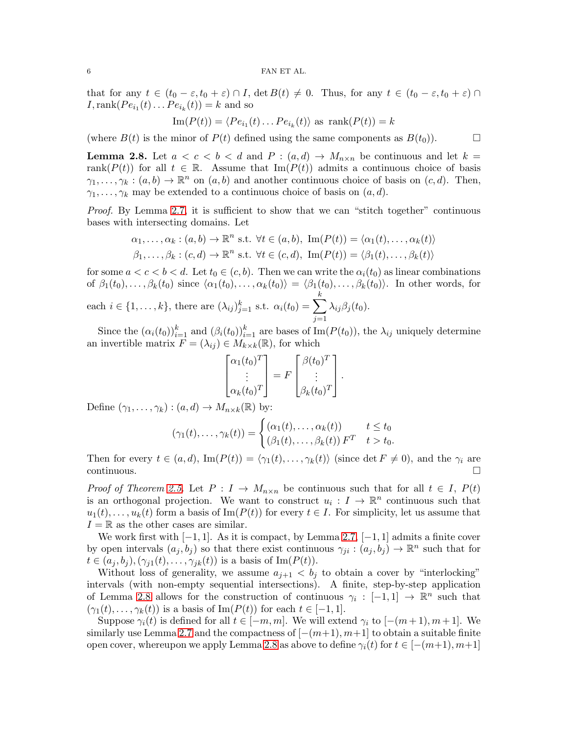### $6$   $\,$  FAN ET AL.

that for any  $t \in (t_0 - \varepsilon, t_0 + \varepsilon) \cap I$ ,  $\det B(t) \neq 0$ . Thus, for any  $t \in (t_0 - \varepsilon, t_0 + \varepsilon) \cap I$  $I, \text{rank}(Pe_{i_1}(t) \dots Pe_{i_k}(t)) = k$  and so

$$
\operatorname{Im}(P(t)) = \langle Pe_{i_1}(t) \dots Pe_{i_k}(t) \rangle \text{ as } \operatorname{rank}(P(t)) = k
$$

(where  $B(t)$  is the minor of  $P(t)$  defined using the same components as  $B(t_0)$ ).

<span id="page-5-0"></span>**Lemma 2.8.** Let  $a < c < b < d$  and  $P : (a,d) \rightarrow M_{n \times n}$  be continuous and let  $k =$ rank( $P(t)$ ) for all  $t \in \mathbb{R}$ . Assume that Im( $P(t)$ ) admits a continuous choice of basis  $\gamma_1, \ldots, \gamma_k : (a, b) \to \mathbb{R}^n$  on  $(a, b)$  and another continuous choice of basis on  $(c, d)$ . Then,  $\gamma_1, \ldots, \gamma_k$  may be extended to a continuous choice of basis on  $(a, d)$ .

Proof. By Lemma [2.7,](#page-4-4) it is sufficient to show that we can "stitch together" continuous bases with intersecting domains. Let

$$
\alpha_1, \dots, \alpha_k : (a, b) \to \mathbb{R}^n \text{ s.t. } \forall t \in (a, b), \text{ Im}(P(t)) = \langle \alpha_1(t), \dots, \alpha_k(t) \rangle
$$
  

$$
\beta_1, \dots, \beta_k : (c, d) \to \mathbb{R}^n \text{ s.t. } \forall t \in (c, d), \text{ Im}(P(t)) = \langle \beta_1(t), \dots, \beta_k(t) \rangle
$$

for some  $a < c < b < d$ . Let  $t_0 \in (c, b)$ . Then we can write the  $\alpha_i(t_0)$  as linear combinations of  $\beta_1(t_0), \ldots, \beta_k(t_0)$  since  $\langle \alpha_1(t_0), \ldots, \alpha_k(t_0) \rangle = \langle \beta_1(t_0), \ldots, \beta_k(t_0) \rangle$ . In other words, for

each  $i \in \{1, ..., k\}$ , there are  $(\lambda_{ij})_{j=1}^k$  s.t.  $\alpha_i(t_0) = \sum^k$  $j=1$  $\lambda_{ij}\beta_j(t_0)$ .

Since the  $(\alpha_i(t_0))_{i=1}^k$  and  $(\beta_i(t_0))_{i=1}^k$  are bases of Im( $P(t_0)$ ), the  $\lambda_{ij}$  uniquely determine an invertible matrix  $F = (\lambda_{ij}) \in M_{k \times k}(\mathbb{R})$ , for which

$$
\begin{bmatrix} \alpha_1(t_0)^T \\ \vdots \\ \alpha_k(t_0)^T \end{bmatrix} = F \begin{bmatrix} \beta(t_0)^T \\ \vdots \\ \beta_k(t_0)^T \end{bmatrix}.
$$

Define  $(\gamma_1, \ldots, \gamma_k) : (a, d) \to M_{n \times k}(\mathbb{R})$  by:

$$
(\gamma_1(t),\ldots,\gamma_k(t)) = \begin{cases} (\alpha_1(t),\ldots,\alpha_k(t)) & t \le t_0 \\ (\beta_1(t),\ldots,\beta_k(t)) \, F^T & t > t_0. \end{cases}
$$

Then for every  $t \in (a, d)$ ,  $\text{Im}(P(t)) = \langle \gamma_1(t), \dots, \gamma_k(t) \rangle$  (since det  $F \neq 0$ ), and the  $\gamma_i$  are continuous.  $\Box$ continuous.

Proof of Theorem [2.5.](#page-4-1) Let  $P: I \to M_{n \times n}$  be continuous such that for all  $t \in I$ ,  $P(t)$ is an orthogonal projection. We want to construct  $u_i: I \to \mathbb{R}^n$  continuous such that  $u_1(t), \ldots, u_k(t)$  form a basis of Im( $P(t)$ ) for every  $t \in I$ . For simplicity, let us assume that  $I = \mathbb{R}$  as the other cases are similar.

We work first with  $[-1, 1]$ . As it is compact, by Lemma [2.7,](#page-4-4)  $[-1, 1]$  admits a finite cover by open intervals  $(a_j, b_j)$  so that there exist continuous  $\gamma_{ji} : (a_j, b_j) \to \mathbb{R}^n$  such that for  $t \in (a_j, b_j), (\gamma_{j1}(t), \ldots, \gamma_{jk}(t))$  is a basis of Im( $P(t)$ ).

Without loss of generality, we assume  $a_{j+1} < b_j$  to obtain a cover by "interlocking" intervals (with non-empty sequential intersections). A finite, step-by-step application of Lemma [2.8](#page-5-0) allows for the construction of continuous  $\gamma_i : [-1,1] \to \mathbb{R}^n$  such that  $(\gamma_1(t), \ldots, \gamma_k(t))$  is a basis of Im( $P(t)$ ) for each  $t \in [-1, 1]$ .

Suppose  $\gamma_i(t)$  is defined for all  $t \in [-m, m]$ . We will extend  $\gamma_i$  to  $[-(m+1), m+1]$ . We similarly use Lemma [2.7](#page-4-4) and the compactness of  $[-(m+1), m+1]$  to obtain a suitable finite open cover, whereupon we apply Lemma [2.8](#page-5-0) as above to define  $\gamma_i(t)$  for  $t \in [-(m+1), m+1]$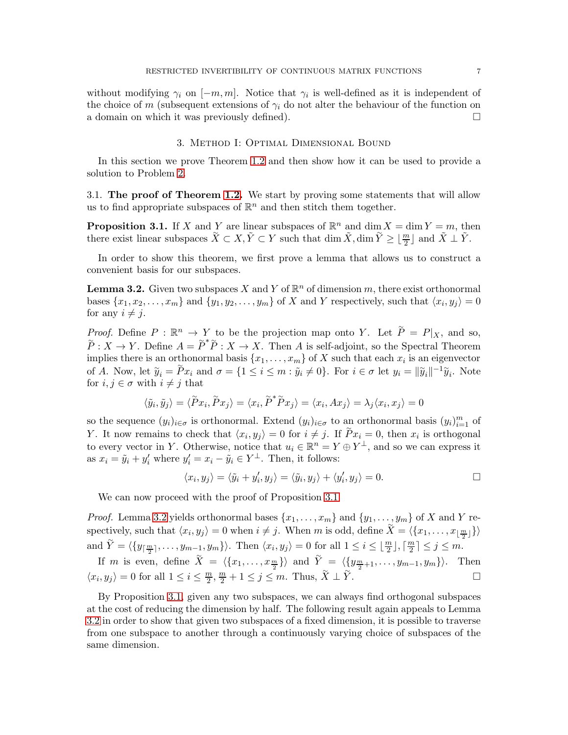without modifying  $\gamma_i$  on  $[-m, m]$ . Notice that  $\gamma_i$  is well-defined as it is independent of the choice of m (subsequent extensions of  $\gamma_i$  do not alter the behaviour of the function on a domain on which it was previously defined).

# 3. Method I: Optimal Dimensional Bound

<span id="page-6-0"></span>In this section we prove Theorem [1.2](#page-2-0) and then show how it can be used to provide a solution to Problem [2.](#page-1-1)

3.1. The proof of Theorem [1.2.](#page-2-0) We start by proving some statements that will allow us to find appropriate subspaces of  $\mathbb{R}^n$  and then stitch them together.

<span id="page-6-1"></span>**Proposition 3.1.** If X and Y are linear subspaces of  $\mathbb{R}^n$  and dim  $X = \dim Y = m$ , then there exist linear subspaces  $\tilde{X} \subset X, \tilde{Y} \subset Y$  such that  $\dim \tilde{X}$ ,  $\dim \tilde{Y} \geq \lfloor \frac{m}{2} \rfloor$  and  $\tilde{X} \perp \tilde{Y}$ .

In order to show this theorem, we first prove a lemma that allows us to construct a convenient basis for our subspaces.

<span id="page-6-2"></span>**Lemma 3.2.** Given two subspaces X and Y of  $\mathbb{R}^n$  of dimension m, there exist orthonormal bases  $\{x_1, x_2, \ldots, x_m\}$  and  $\{y_1, y_2, \ldots, y_m\}$  of X and Y respectively, such that  $\langle x_i, y_j \rangle = 0$ for any  $i \neq j$ .

*Proof.* Define  $P : \mathbb{R}^n \to Y$  to be the projection map onto Y. Let  $\tilde{P} = P|_X$ , and so,  $\widetilde{P}: X \to Y$ . Define  $A = \widetilde{P}^* \widetilde{P}: X \to X$ . Then A is self-adjoint, so the Spectral Theorem implies there is an orthonormal basis  $\{x_1, \ldots, x_m\}$  of X such that each  $x_i$  is an eigenvector of A. Now, let  $\tilde{y}_i = \tilde{P}x_i$  and  $\sigma = \{1 \le i \le m : \tilde{y}_i \neq 0\}$ . For  $i \in \sigma$  let  $y_i = ||\tilde{y}_i||^{-1}\tilde{y}_i$ . Note for  $i, j \in \sigma$  with  $i \neq j$  that

$$
\langle \tilde{y}_i, \tilde{y}_j \rangle = \langle \tilde{P} x_i, \tilde{P} x_j \rangle = \langle x_i, \tilde{P}^* \tilde{P} x_j \rangle = \langle x_i, Ax_j \rangle = \lambda_j \langle x_i, x_j \rangle = 0
$$

so the sequence  $(y_i)_{i \in \sigma}$  is orthonormal. Extend  $(y_i)_{i \in \sigma}$  to an orthonormal basis  $(y_i)_{i=1}^m$  of Y. It now remains to check that  $\langle x_i, y_j \rangle = 0$  for  $i \neq j$ . If  $\tilde{P}x_i = 0$ , then  $x_i$  is orthogonal to every vector in Y. Otherwise, notice that  $u_i \in \mathbb{R}^n = Y \oplus Y^{\perp}$ , and so we can express it as  $x_i = \tilde{y}_i + y'_i$  where  $y'_i = x_i - \tilde{y}_i \in Y^{\perp}$ . Then, it follows:

$$
\langle x_i, y_j \rangle = \langle \tilde{y}_i + y_i', y_j \rangle = \langle \tilde{y}_i, y_j \rangle + \langle y_i', y_j \rangle = 0.
$$

We can now proceed with the proof of Proposition [3.1](#page-6-1)

*Proof.* Lemma [3.2](#page-6-2) yields orthonormal bases  $\{x_1, \ldots, x_m\}$  and  $\{y_1, \ldots, y_m\}$  of X and Y respectively, such that  $\langle x_i, y_j \rangle = 0$  when  $i \neq j$ . When m is odd, define  $\widetilde{X} = \langle \{x_1, \ldots, x_{\lfloor \frac{m}{2} \rfloor}\}\rangle$ and  $\widetilde{Y} = \langle \{y_{\lceil \frac{m}{2} \rceil}, \ldots, y_{m-1}, y_m\} \rangle$ . Then  $\langle x_i, y_j \rangle = 0$  for all  $1 \leq i \leq \lfloor \frac{m}{2} \rfloor, \lceil \frac{m}{2} \rceil$  $\frac{m}{2}$ ]  $\leq j \leq m$ .

If m is even, define  $\widetilde{X} = \langle \{x_1, \ldots, x_{\frac{m}{2}}\} \rangle$  and  $\widetilde{Y} = \langle \{y_{\frac{m}{2}+1}, \ldots, y_{m-1}, y_m\} \rangle$ . Then  $\langle x_i, y_j \rangle = 0$  for all  $1 \leq i \leq \frac{m}{2}$  $\frac{m}{2}, \frac{m}{2} + 1 \leq j \leq m$ . Thus,  $\widetilde{X} \perp \widetilde{Y}$ . — Первый процесс в постановки программа в серверном становки производительно становки производите с производ<br>В серверном становки производительно становки производительно становки производительно становки производительн

By Proposition [3.1,](#page-6-1) given any two subspaces, we can always find orthogonal subspaces at the cost of reducing the dimension by half. The following result again appeals to Lemma [3.2](#page-6-2) in order to show that given two subspaces of a fixed dimension, it is possible to traverse from one subspace to another through a continuously varying choice of subspaces of the same dimension.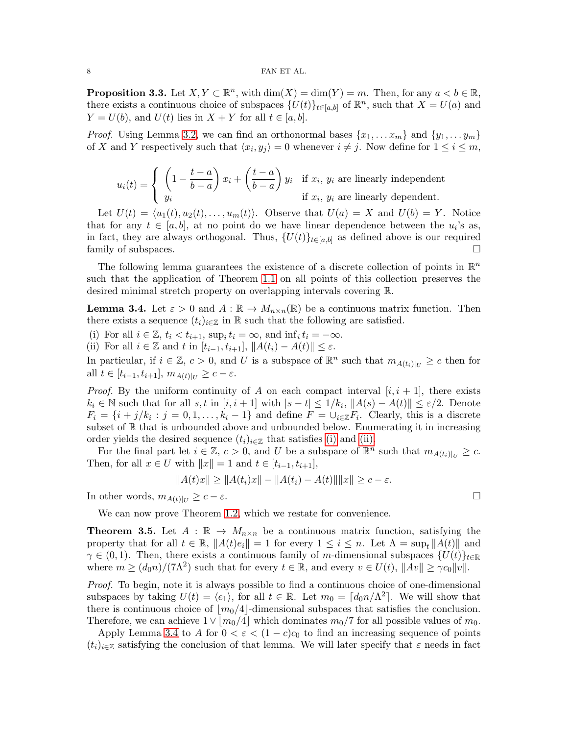<span id="page-7-3"></span>**Proposition 3.3.** Let  $X, Y \subset \mathbb{R}^n$ , with  $\dim(X) = \dim(Y) = m$ . Then, for any  $a < b \in \mathbb{R}$ , there exists a continuous choice of subspaces  $\{U(t)\}_{t\in[a,b]}$  of  $\mathbb{R}^n$ , such that  $X = U(a)$  and  $Y = U(b)$ , and  $U(t)$  lies in  $X + Y$  for all  $t \in [a, b]$ .

*Proof.* Using Lemma [3.2,](#page-6-2) we can find an orthonormal bases  $\{x_1, \ldots x_m\}$  and  $\{y_1, \ldots y_m\}$ of X and Y respectively such that  $\langle x_i, y_j \rangle = 0$  whenever  $i \neq j$ . Now define for  $1 \leq i \leq m$ ,

$$
u_i(t) = \begin{cases} \left(1 - \frac{t-a}{b-a}\right) x_i + \left(\frac{t-a}{b-a}\right) y_i & \text{if } x_i, y_i \text{ are linearly independent} \\ y_i & \text{if } x_i, y_i \text{ are linearly dependent.} \end{cases}
$$

Let  $U(t) = \langle u_1(t), u_2(t), \ldots, u_m(t) \rangle$ . Observe that  $U(a) = X$  and  $U(b) = Y$ . Notice that for any  $t \in [a, b]$ , at no point do we have linear dependence between the  $u_i$ 's as, in fact, they are always orthogonal. Thus,  $\{U(t)\}_{t\in[a,b]}$  as defined above is our required family of subspaces. family of subspaces.

The following lemma guarantees the existence of a discrete collection of points in  $\mathbb{R}^n$ such that the application of Theorem [1.1](#page-0-0) on all points of this collection preserves the desired minimal stretch property on overlapping intervals covering R.

<span id="page-7-2"></span>**Lemma 3.4.** Let  $\varepsilon > 0$  and  $A : \mathbb{R} \to M_{n \times n}(\mathbb{R})$  be a continuous matrix function. Then there exists a sequence  $(t_i)_{i\in\mathbb{Z}}$  in R such that the following are satisfied.

<span id="page-7-1"></span><span id="page-7-0"></span>(i) For all  $i \in \mathbb{Z}$ ,  $t_i < t_{i+1}$ ,  $\sup_i t_i = \infty$ , and  $\inf_i t_i = -\infty$ .

(ii) For all  $i \in \mathbb{Z}$  and t in  $[t_{i-1}, t_{i+1}], ||A(t_i) - A(t)|| \leq \varepsilon$ .

In particular, if  $i \in \mathbb{Z}$ ,  $c > 0$ , and U is a subspace of  $\mathbb{R}^n$  such that  $m_{A(t_i)|_U} \geq c$  then for all  $t \in [t_{i-1}, t_{i+1}], m_{A(t)|_{U}} \geq c - \varepsilon.$ 

*Proof.* By the uniform continuity of A on each compact interval  $[i, i + 1]$ , there exists  $k_i \in \mathbb{N}$  such that for all  $s, t$  in  $[i, i + 1]$  with  $|s - t| \leq 1/k_i$ ,  $||A(s) - A(t)|| \leq \varepsilon/2$ . Denote  $F_i = \{i + j/k_i : j = 0, 1, \ldots, k_i - 1\}$  and define  $F = \cup_{i \in \mathbb{Z}} F_i$ . Clearly, this is a discrete subset of  $\mathbb R$  that is unbounded above and unbounded below. Enumerating it in increasing order yields the desired sequence  $(t_i)_{i\in\mathbb{Z}}$  that satisfies [\(i\)](#page-7-0) and [\(ii\).](#page-7-1)

For the final part let  $i \in \mathbb{Z}$ ,  $c > 0$ , and U be a subspace of  $\mathbb{R}^n$  such that  $m_{A(t_i)|U} \geq c$ . Then, for all  $x \in U$  with  $||x|| = 1$  and  $t \in [t_{i-1}, t_{i+1}],$ 

$$
||A(t)x|| \ge ||A(t_i)x|| - ||A(t_i) - A(t)|| ||x|| \ge c - \varepsilon.
$$

In other words,  $m_{A(t)|_{U}} \geq c - \varepsilon$ .

We can now prove Theorem [1.2,](#page-2-0) which we restate for convenience.

<span id="page-7-4"></span>**Theorem 3.5.** Let  $A : \mathbb{R} \to M_{n \times n}$  be a continuous matrix function, satisfying the property that for all  $t \in \mathbb{R}$ ,  $||A(t)e_i|| = 1$  for every  $1 \leq i \leq n$ . Let  $\Lambda = \sup_t ||A(t)||$  and  $\gamma \in (0,1)$ . Then, there exists a continuous family of m-dimensional subspaces  $\{U(t)\}_{t\in\mathbb{R}}$ where  $m \ge (d_0 n)/(7\Lambda^2)$  such that for every  $t \in \mathbb{R}$ , and every  $v \in U(t)$ ,  $||Av|| \ge \gamma c_0 ||v||$ .

Proof. To begin, note it is always possible to find a continuous choice of one-dimensional subspaces by taking  $U(t) = \langle e_1 \rangle$ , for all  $t \in \mathbb{R}$ . Let  $m_0 = \lceil d_0 n / \Lambda^2 \rceil$ . We will show that there is continuous choice of  $|m_0/4|$ -dimensional subspaces that satisfies the conclusion. Therefore, we can achieve  $1 \vee |m_0/4|$  which dominates  $m_0/7$  for all possible values of  $m_0$ .

Apply Lemma [3.4](#page-7-2) to A for  $0 < \varepsilon < (1 - c)c_0$  to find an increasing sequence of points  $(t_i)_{i\in\mathbb{Z}}$  satisfying the conclusion of that lemma. We will later specify that  $\varepsilon$  needs in fact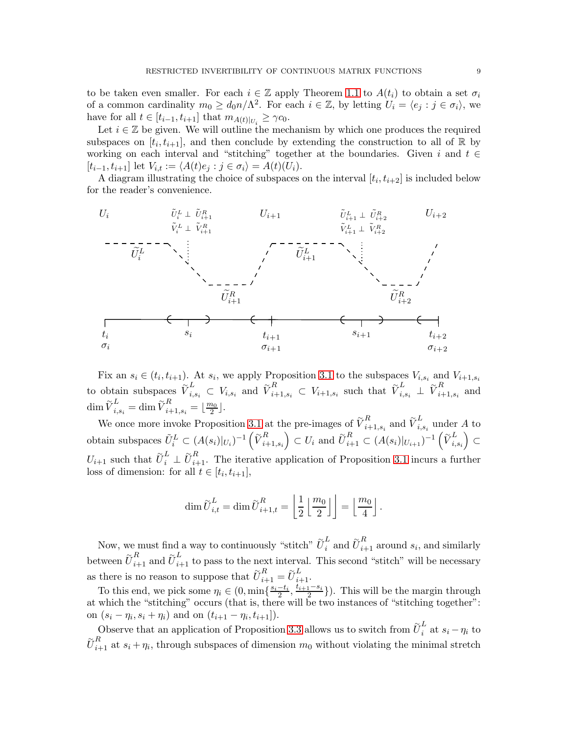to be taken even smaller. For each  $i \in \mathbb{Z}$  apply Theorem [1.1](#page-0-0) to  $A(t_i)$  to obtain a set  $\sigma_i$ of a common cardinality  $m_0 \geq d_0 n / \Lambda^2$ . For each  $i \in \mathbb{Z}$ , by letting  $U_i = \langle e_j : j \in \sigma_i \rangle$ , we have for all  $t \in [t_{i-1}, t_{i+1}]$  that  $m_{A(t)|_{U_i}} \geq \gamma c_0$ .

Let  $i \in \mathbb{Z}$  be given. We will outline the mechanism by which one produces the required subspaces on  $[t_i, t_{i+1}]$ , and then conclude by extending the construction to all of R by working on each interval and "stitching" together at the boundaries. Given i and  $t \in$  $[t_{i-1}, t_{i+1}]$  let  $V_{i,t} := \langle A(t)e_j : j \in \sigma_i \rangle = A(t)(U_i).$ 

A diagram illustrating the choice of subspaces on the interval  $[t_i, t_{i+2}]$  is included below for the reader's convenience.



Fix an  $s_i \in (t_i, t_{i+1})$ . At  $s_i$ , we apply Proposition [3.1](#page-6-1) to the subspaces  $V_{i,s_i}$  and  $V_{i+1,s_i}$ to obtain subspaces  $\widetilde{V}_{i,s_i}^L \subset V_{i,s_i}$  and  $\widetilde{V}_{i+1,s_i}^R \subset V_{i+1,s_i}$  such that  $\widetilde{V}_{i,s_i}^L \perp \widetilde{V}_{i+1,s_i}^R$  $\prod_{i+1,s_i}^{n}$  and  $\dim \widetilde{V}_{i,s_i}^L = \dim \widetilde{V}_{i+1,s_i}^R = \lfloor \frac{m_0}{2} \rfloor.$ 

We once more invoke Proposition [3.1](#page-6-1) at the pre-images of  $\tilde{V}_{i}^R$  $_{i+1,s_i}^R$  and  $\widetilde{\boldsymbol{V}}_{i,1}^L$  $\sum_{i,s_i}$  under A to obtain subspaces  $\tilde{U}_i^L \subset (A(s_i)|_{U_i})^{-1} \left(\tilde{V}_{i+1}^R\right)$  $_{i+1,s_i}$  $C \subset U_i$  and  $\widetilde{U}_{i+1}^R \subset (A(s_i)|_{U_{i+1}})^{-1} \left(\widetilde{V}_{i,1}^L\right)$  $_{i,s_i}$  $\overline{ }$ ⊂  $U_{i+1}$  such that  $\tilde{U}_{i}^{L} \perp \tilde{U}_{i+1}^{R}$ . The iterative application of Proposition [3.1](#page-6-1) incurs a further loss of dimension: for all  $t \in [t_i, t_{i+1}],$ 

$$
\dim \widetilde{U}_{i,t}^L = \dim \widetilde{U}_{i+1,t}^R = \left\lfloor \frac{1}{2} \left\lfloor \frac{m_0}{2} \right\rfloor \right\rfloor = \left\lfloor \frac{m_0}{4} \right\rfloor.
$$

Now, we must find a way to continuously "stitch"  $\tilde{U}_i^L$  and  $\tilde{U}_{i+1}^R$  around  $s_i$ , and similarly between  $\tilde{U}_{i+1}^R$  and  $\tilde{U}_{i+1}^L$  to pass to the next interval. This second "stitch" will be necessary as there is no reason to suppose that  $\tilde{U}_{i+1}^R = \tilde{U}_{i+1}^L$ .

To this end, we pick some  $\eta_i \in (0, \min\{\frac{s_i-t_i}{2}, \frac{t_{i+1}-s_i}{2}\})$  $\frac{1-s_i}{2}$ ). This will be the margin through at which the "stitching" occurs (that is, there will be two instances of "stitching together": on  $(s_i - \eta_i, s_i + \eta_i)$  and on  $(t_{i+1} - \eta_i, t_{i+1}])$ .

Observe that an application of Proposition [3.3](#page-7-3) allows us to switch from  $\tilde{U}_i^L$  $\int_{i}^{\infty}$  at  $s_i - \eta_i$  to  $\tilde{U}_{i+1}^R$  at  $s_i + \eta_i$ , through subspaces of dimension  $m_0$  without violating the minimal stretch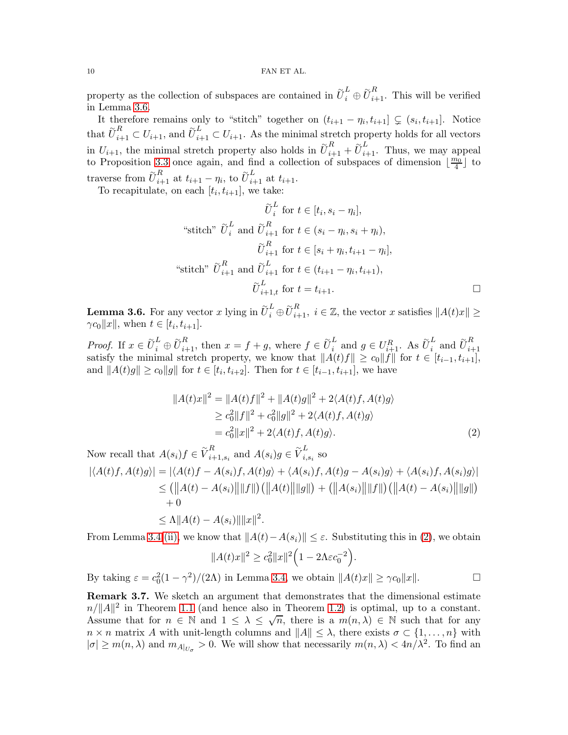property as the collection of subspaces are contained in  $\tilde{U}_i^L \oplus \tilde{U}_{i+1}^R$ . This will be verified in Lemma [3.6.](#page-9-1)

It therefore remains only to "stitch" together on  $(t_{i+1} - \eta_i, t_{i+1}] \subsetneq (s_i, t_{i+1}]$ . Notice that  $\tilde{U}_{i+1}^R \subset U_{i+1}$ , and  $\tilde{U}_{i+1}^L \subset U_{i+1}$ . As the minimal stretch property holds for all vectors in  $U_{i+1}$ , the minimal stretch property also holds in  $\tilde{U}_{i+1}^R + \tilde{U}_{i+1}^L$ . Thus, we may appeal to Proposition [3.3](#page-7-3) once again, and find a collection of subspaces of dimension  $\lfloor \frac{m_0}{4} \rfloor$  to traverse from  $\widetilde{U}_{i+1}^R$  at  $t_{i+1} - \eta_i$ , to  $\widetilde{U}_{i+1}^L$  at  $t_{i+1}$ .

To recapitulate, on each  $[t_i, t_{i+1}]$ , we take:

$$
\widetilde{U}_i^L \text{ for } t \in [t_i, s_i - \eta_i],
$$
  
\n"stitch"  $\widetilde{U}_i^L$  and  $\widetilde{U}_{i+1}^R$  for  $t \in (s_i - \eta_i, s_i + \eta_i),$   
\n $\widetilde{U}_{i+1}^R$  for  $t \in [s_i + \eta_i, t_{i+1} - \eta_i],$   
\n"stitch"  $\widetilde{U}_{i+1}^R$  and  $\widetilde{U}_{i+1}^L$  for  $t \in (t_{i+1} - \eta_i, t_{i+1}),$   
\n $\widetilde{U}_{i+1,t}^L$  for  $t = t_{i+1}.$ 

<span id="page-9-1"></span>**Lemma 3.6.** For any vector x lying in  $\tilde{U}_i^L \oplus \tilde{U}_{i+1}^R$ ,  $i \in \mathbb{Z}$ , the vector x satisfies  $||A(t)x|| \ge$  $\gamma c_0 ||x||$ , when  $t \in [t_i, t_{i+1}].$ 

*Proof.* If  $x \in \tilde{U}_i^L \oplus \tilde{U}_{i+1}^R$ , then  $x = f + g$ , where  $f \in \tilde{U}_i^L$  $\widetilde{u}_i^L$  and  $g \in U_{i+1}^R$ . As  $\widetilde{U}_i^L$  $\frac{L}{i}$  and  $\widetilde{U}_{i+1}^R$  $i+1$ satisfy the minimal stretch property, we know that  $||A(t)f|| \ge c_0||f||$  for  $t \in [t_{i-1}, t_{i+1}],$ and  $||A(t)g|| \ge c_0 ||g||$  for  $t \in [t_i, t_{i+2}]$ . Then for  $t \in [t_{i-1}, t_{i+1}]$ , we have

$$
||A(t)x||2 = ||A(t)f||2 + ||A(t)g||2 + 2\langle A(t)f, A(t)g \rangle
$$
  
\n
$$
\geq c_02 ||f||2 + c_02 ||g||2 + 2\langle A(t)f, A(t)g \rangle
$$
  
\n
$$
= c_02 ||x||2 + 2\langle A(t)f, A(t)g \rangle.
$$
 (2)

Now recall that  $A(s_i)f \in \widetilde{V}_{i+1}^R$  $_{i+1,s_i}^R$  and  $A(s_i)g \in \widetilde{V}_{i,j}^L$  $\sum_{i,s_i}$  so  $|\langle A(t)f, A(t)g \rangle| = |\langle A(t)f - A(s_i)f, A(t)g \rangle + \langle A(s_i)f, A(t)g - A(s_i)g \rangle + \langle A(s_i)f, A(s_i)g \rangle|$  $\leq (||A(t) - A(s_i)|| ||f||) (||A(t)|| ||g||) + (||A(s_i)|| ||f||) (||A(t) - A(s_i)|| ||g||)$  $+0$  $\leq \Lambda \|A(t) - A(s_i)\| \|x\|^2.$ 

From Lemma [3.4](#page-7-2) [\(ii\),](#page-7-1) we know that  $||A(t)-A(s_i)|| \leq \varepsilon$ . Substituting this in [\(2\)](#page-9-2), we obtain

<span id="page-9-2"></span>
$$
||A(t)x||^2 \ge c_0^2 ||x||^2 \Big( 1 - 2\Lambda \varepsilon c_0^{-2} \Big).
$$

By taking  $\varepsilon = c_0^2 (1 - \gamma^2)/(2\Lambda)$  in Lemma [3.4,](#page-7-2) we obtain  $||A(t)x|| \ge \gamma c_0 ||x||$ .

<span id="page-9-0"></span>Remark 3.7. We sketch an argument that demonstrates that the dimensional estimate  $n/||A||^2$  in Theorem [1.1](#page-0-0) (and hence also in Theorem [1.2\)](#page-2-0) is optimal, up to a constant. Assume that for  $n \in \mathbb{N}$  and  $1 \leq \lambda \leq \sqrt{n}$ , there is a  $m(n,\lambda) \in \mathbb{N}$  such that for any  $n \times n$  matrix A with unit-length columns and  $||A|| \leq \lambda$ , there exists  $\sigma \subset \{1, \ldots, n\}$  with  $|\sigma| \geq m(n,\lambda)$  and  $m_{A|_{U_{\sigma}}} > 0$ . We will show that necessarily  $m(n,\lambda) < 4n/\lambda^2$ . To find an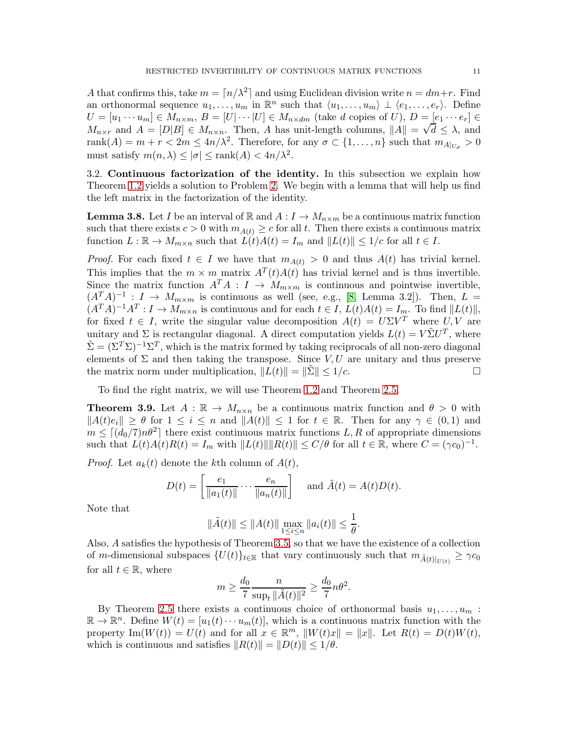A that confirms this, take  $m = \lfloor n/\lambda^2 \rfloor$  and using Euclidean division write  $n = dm + r$ . Find an orthonormal sequence  $u_1, \ldots, u_m$  in  $\mathbb{R}^n$  such that  $\langle u_1, \ldots, u_m \rangle \perp \langle e_1, \ldots, e_r \rangle$ . Define  $U = [u_1 \cdots u_m] \in M_{n \times m}, B = [U] \cdots |U] \in M_{n \times dm}$  (take d copies of U),  $D = [e_1 \cdots e_r] \in$  $M_{n \times r}$  and  $A = [D|B] \in M_{n \times n}$ . Then, A has unit-length columns,  $||A|| = \sqrt{d} \le \lambda$ , and rank $(A) = m + r < 2m \le 4n/\lambda^2$ . Therefore, for any  $\sigma \subset \{1, \ldots, n\}$  such that  $m_{A|_{U_{\sigma}}} > 0$ must satisfy  $m(n, \lambda) \le |\sigma| \le \text{rank}(A) < 4n/\lambda^2$ .

3.2. Continuous factorization of the identity. In this subsection we explain how Theorem [1.2](#page-2-0) yields a solution to Problem [2.](#page-1-1) We begin with a lemma that will help us find the left matrix in the factorization of the identity.

<span id="page-10-1"></span>**Lemma 3.8.** Let I be an interval of R and  $A: I \to M_{n \times m}$  be a continuous matrix function such that there exists  $c > 0$  with  $m_{A(t)} \geq c$  for all t. Then there exists a continuous matrix function  $L : \mathbb{R} \to M_{m \times n}$  such that  $L(t)A(t) = I_m$  and  $||L(t)|| \leq 1/c$  for all  $t \in I$ .

*Proof.* For each fixed  $t \in I$  we have that  $m_{A(t)} > 0$  and thus  $A(t)$  has trivial kernel. This implies that the  $m \times m$  matrix  $A<sup>T</sup>(t)A(t)$  has trivial kernel and is thus invertible. Since the matrix function  $A^T A : I \to M_{m \times m}$  is continuous and pointwise invertible,  $(A^T A)^{-1}: I \to M_{m \times m}$  is continuous as well (see, e.g., [\[8,](#page-21-13) Lemma 3.2]). Then,  $L =$  $(A^T A)^{-1} A^T : I \to M_{m \times n}$  is continuous and for each  $t \in I$ ,  $L(t)A(t) = I_m$ . To find  $||L(t)||$ , for fixed  $t \in I$ , write the singular value decomposition  $A(t) = U\Sigma V^T$  where  $U, V$  are unitary and  $\Sigma$  is rectangular diagonal. A direct computation yields  $L(t) = V\tilde{\Sigma}U^{T}$ , where  $\tilde{\Sigma} = (\Sigma^T \Sigma)^{-1} \Sigma^T$ , which is the matrix formed by taking reciprocals of all non-zero diagonal elements of  $\Sigma$  and then taking the transpose. Since V, U are unitary and thus preserve the matrix norm under multiplication,  $||L(t)|| = ||\Sigma|| \leq 1/c$ .

To find the right matrix, we will use Theorem [1.2](#page-2-0) and Theorem [2.5.](#page-4-1)

<span id="page-10-0"></span>**Theorem 3.9.** Let  $A : \mathbb{R} \to M_{n \times n}$  be a continuous matrix function and  $\theta > 0$  with  $||A(t)e_i|| \geq \theta$  for  $1 \leq i \leq n$  and  $||A(t)|| \leq 1$  for  $t \in \mathbb{R}$ . Then for any  $\gamma \in (0,1)$  and  $m \leq \left[ \frac{d_0}{7} \right]$  there exist continuous matrix functions  $L, R$  of appropriate dimensions such that  $L(t)A(t)R(t) = I_m$  with  $||L(t)|| ||R(t)|| \le C/\theta$  for all  $t \in \mathbb{R}$ , where  $C = (\gamma c_0)^{-1}$ .

*Proof.* Let  $a_k(t)$  denote the kth column of  $A(t)$ ,

$$
D(t) = \left[\frac{e_1}{\|a_1(t)\|} \cdots \frac{e_n}{\|a_n(t)\|}\right] \quad \text{and } \tilde{A}(t) = A(t)D(t).
$$

Note that

$$
\|\tilde{A}(t)\| \le \|A(t)\| \max_{1 \le i \le n} \|a_i(t)\| \le \frac{1}{\theta}.
$$

Also, A satisfies the hypothesis of Theorem [3.5,](#page-7-4) so that we have the existence of a collection of m-dimensional subspaces  $\{U(t)\}_{t\in\mathbb{R}}$  that vary continuously such that  $m_{\tilde{A}(t)|_{U(t)}} \ge \gamma c_0$ for all  $t \in \mathbb{R}$ , where

$$
m \ge \frac{d_0}{7} \frac{n}{\sup_t \|\tilde{A}(t)\|^2} \ge \frac{d_0}{7} n\theta^2.
$$

By Theorem [2.5](#page-4-1) there exists a continuous choice of orthonormal basis  $u_1, \ldots, u_m$ :  $\mathbb{R} \to \mathbb{R}^n$ . Define  $W(t) = [u_1(t) \cdots u_m(t)],$  which is a continuous matrix function with the property  $\text{Im}(W(t)) = U(t)$  and for all  $x \in \mathbb{R}^m$ ,  $||W(t)x|| = ||x||$ . Let  $R(t) = D(t)W(t)$ , which is continuous and satisfies  $||R(t)|| = ||D(t)|| \leq 1/\theta$ .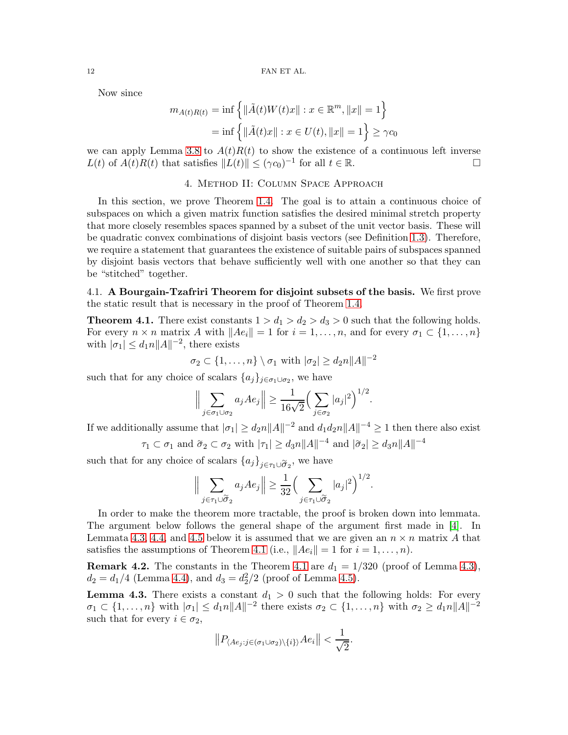Now since

$$
m_{A(t)R(t)} = \inf \{ ||\tilde{A}(t)W(t)x|| : x \in \mathbb{R}^m, ||x|| = 1 \}
$$
  
=  $\inf \{ ||\tilde{A}(t)x|| : x \in U(t), ||x|| = 1 \} \ge \gamma c_0$ 

<span id="page-11-0"></span>we can apply Lemma [3.8](#page-10-1) to  $A(t)R(t)$  to show the existence of a continuous left inverse  $L(t)$  of  $\widehat{A(t)}R(t)$  that satisfies  $\|\widehat{L}(t)\| \leq (\gamma c_0)^{-1}$  for all  $t \in \mathbb{R}$ .

# 4. Method II: Column Space Approach

In this section, we prove Theorem [1.4.](#page-2-1) The goal is to attain a continuous choice of subspaces on which a given matrix function satisfies the desired minimal stretch property that more closely resembles spaces spanned by a subset of the unit vector basis. These will be quadratic convex combinations of disjoint basis vectors (see Definition [1.3\)](#page-2-2). Therefore, we require a statement that guarantees the existence of suitable pairs of subspaces spanned by disjoint basis vectors that behave sufficiently well with one another so that they can be "stitched" together.

4.1. A Bourgain-Tzafriri Theorem for disjoint subsets of the basis. We first prove the static result that is necessary in the proof of Theorem [1.4.](#page-2-1)

<span id="page-11-2"></span>**Theorem 4.1.** There exist constants  $1 > d_1 > d_2 > d_3 > 0$  such that the following holds. For every  $n \times n$  matrix A with  $||Ae_i|| = 1$  for  $i = 1, ..., n$ , and for every  $\sigma_1 \subset \{1, ..., n\}$ with  $|\sigma_1| \leq d_1 n ||A||^{-2}$ , there exists

$$
\sigma_2 \subset \{1,\ldots,n\} \setminus \sigma_1
$$
 with  $|\sigma_2| \geq d_2 n ||A||^{-2}$ 

such that for any choice of scalars  $\{a_j\}_{j\in\sigma_1\cup\sigma_2}$ , we have

$$
\Big\|\sum_{j\in\sigma_1\cup\sigma_2}a_jAe_j\Big\|\geq\frac{1}{16\sqrt{2}}\Big(\sum_{j\in\sigma_2}|a_j|^2\Big)^{1/2}.
$$

If we additionally assume that  $|\sigma_1| \ge d_2 n ||A||^{-2}$  and  $d_1 d_2 n ||A||^{-4} \ge 1$  then there also exist

$$
\tau_1 \subset \sigma_1
$$
 and  $\tilde{\sigma}_2 \subset \sigma_2$  with  $|\tau_1| \ge d_3 n ||A||^{-4}$  and  $|\tilde{\sigma}_2| \ge d_3 n ||A||^{-4}$ 

such that for any choice of scalars  ${a_j}_{j \in \tau_1 \cup \tilde{\sigma}_2}$ , we have

$$
\Big\|\sum_{j\in\tau_1\cup\widetilde{\sigma}_2}a_jAe_j\Big\|\geq\frac{1}{32}\Big(\sum_{j\in\tau_1\cup\widetilde{\sigma}_2}|a_j|^2\Big)^{1/2}.
$$

In order to make the theorem more tractable, the proof is broken down into lemmata. The argument below follows the general shape of the argument first made in [\[4\]](#page-21-0). In Lemmata [4.3,](#page-11-1) [4.4,](#page-14-0) and [4.5](#page-16-0) below it is assumed that we are given an  $n \times n$  matrix A that satisfies the assumptions of Theorem [4.1](#page-11-2) (i.e.,  $||Ae_i|| = 1$  for  $i = 1, ..., n$ ).

<span id="page-11-3"></span>**Remark 4.2.** The constants in the Theorem [4.1](#page-11-2) are  $d_1 = 1/320$  (proof of Lemma [4.3\)](#page-11-1),  $d_2 = d_1/4$  (Lemma [4.4\)](#page-14-0), and  $d_3 = d_2^2/2$  (proof of Lemma [4.5\)](#page-16-0).

<span id="page-11-1"></span>**Lemma 4.3.** There exists a constant  $d_1 > 0$  such that the following holds: For every  $\sigma_1 \subset \{1, \ldots, n\}$  with  $|\sigma_1| \leq d_1 n ||A||^{-2}$  there exists  $\sigma_2 \subset \{1, \ldots, n\}$  with  $\sigma_2 \geq d_1 n ||A||^{-2}$ such that for every  $i \in \sigma_2$ ,

$$
||P_{\langle Ae_j:j\in(\sigma_1\cup\sigma_2)\setminus\{i\}\rangle}Ae_i|| < \frac{1}{\sqrt{2}}.
$$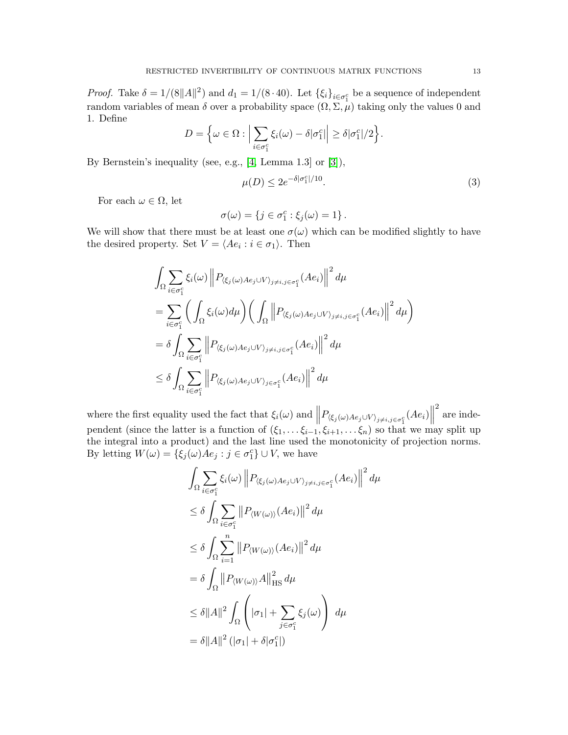*Proof.* Take  $\delta = 1/(8||A||^2)$  and  $d_1 = 1/(8 \cdot 40)$ . Let  $\{\xi_i\}_{i \in \sigma_1^c}$  be a sequence of independent random variables of mean  $\delta$  over a probability space  $(\Omega, \Sigma, \mu)$  taking only the values 0 and 1. Define

$$
D = \left\{ \omega \in \Omega : \Big| \sum_{i \in \sigma_1^c} \xi_i(\omega) - \delta |\sigma_1^c| \Big| \geq \delta |\sigma_1^c|/2 \right\}.
$$

By Bernstein's inequality (see, e.g., [\[4,](#page-21-0) Lemma 1.3] or [\[3\]](#page-21-15)),

<span id="page-12-0"></span>
$$
\mu(D) \le 2e^{-\delta|\sigma_1^c|/10}.\tag{3}
$$

For each  $\omega \in \Omega$ , let

$$
\sigma(\omega) = \{ j \in \sigma_1^c : \xi_j(\omega) = 1 \}.
$$

We will show that there must be at least one  $\sigma(\omega)$  which can be modified slightly to have the desired property. Set  $V = \langle Ae_i : i \in \sigma_1 \rangle$ . Then

$$
\int_{\Omega} \sum_{i \in \sigma_1^c} \xi_i(\omega) \left\| P_{\langle \xi_j(\omega) A e_j \cup V \rangle_{j \neq i, j \in \sigma_1^c}}(A e_i) \right\|^2 d\mu
$$
\n
$$
= \sum_{i \in \sigma_1^c} \left( \int_{\Omega} \xi_i(\omega) d\mu \right) \left( \int_{\Omega} \left\| P_{\langle \xi_j(\omega) A e_j \cup V \rangle_{j \neq i, j \in \sigma_1^c}}(A e_i) \right\|^2 d\mu \right)
$$
\n
$$
= \delta \int_{\Omega} \sum_{i \in \sigma_1^c} \left\| P_{\langle \xi_j(\omega) A e_j \cup V \rangle_{j \neq i, j \in \sigma_1^c}}(A e_i) \right\|^2 d\mu
$$
\n
$$
\leq \delta \int_{\Omega} \sum_{i \in \sigma_1^c} \left\| P_{\langle \xi_j(\omega) A e_j \cup V \rangle_{j \in \sigma_1^c}}(A e_i) \right\|^2 d\mu
$$

where the first equality used the fact that  $\xi_i(\omega)$  and  $||P_{\langle \xi_j(\omega)Ae_j \cup V \rangle_{j \neq i,j \in \sigma_1^c}}(Ae_i)||$ 2 are independent (since the latter is a function of  $(\xi_1, \ldots, \xi_{i-1}, \xi_{i+1}, \ldots, \xi_n)$  so that we may split up the integral into a product) and the last line used the monotonicity of projection norms. By letting  $W(\omega) = \{\xi_j(\omega)Ae_j : j \in \sigma_1^c\} \cup V$ , we have

$$
\int_{\Omega} \sum_{i \in \sigma_1^c} \xi_i(\omega) \left\| P_{\langle \xi_j(\omega) A e_j \cup V \rangle_{j \neq i, j \in \sigma_1^c}} (A e_i) \right\|^2 d\mu
$$
\n
$$
\leq \delta \int_{\Omega} \sum_{i \in \sigma_1^c} \left\| P_{\langle W(\omega) \rangle} (A e_i) \right\|^2 d\mu
$$
\n
$$
\leq \delta \int_{\Omega} \sum_{i=1}^n \left\| P_{\langle W(\omega) \rangle} (A e_i) \right\|^2 d\mu
$$
\n
$$
= \delta \int_{\Omega} \left\| P_{\langle W(\omega) \rangle} A \right\|_{\text{HS}}^2 d\mu
$$
\n
$$
\leq \delta \|A\|^2 \int_{\Omega} \left( |\sigma_1| + \sum_{j \in \sigma_1^c} \xi_j(\omega) \right) d\mu
$$
\n
$$
= \delta \|A\|^2 \left( |\sigma_1| + \delta |\sigma_1^c| \right)
$$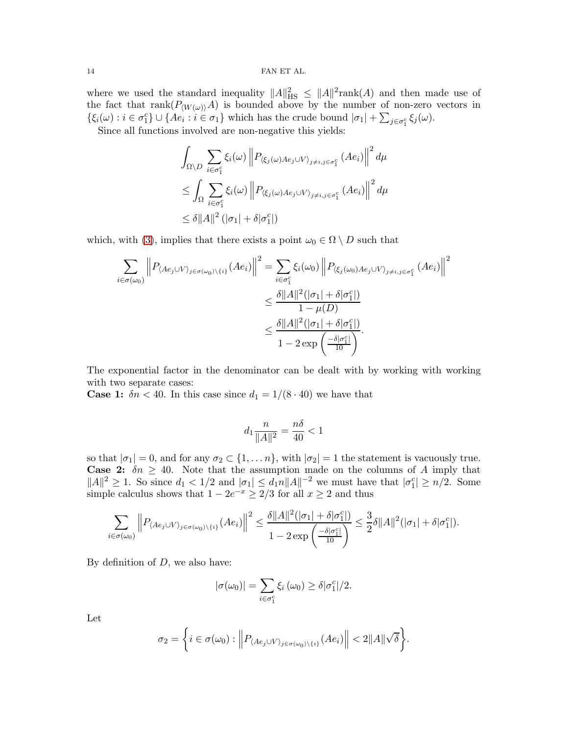where we used the standard inequality  $||A||_{\text{HS}}^2 \leq ||A||^2 \text{rank}(A)$  and then made use of the fact that  $\text{rank}(P_{\langle W(\omega)\rangle}A)$  is bounded above by the number of non-zero vectors in  $\{\xi_i(\omega): i \in \sigma_1^c\} \cup \{Ae_i : i \in \sigma_1\}$  which has the crude bound  $|\sigma_1| + \sum_{j \in \sigma_1^c} \xi_j(\omega)$ .

Since all functions involved are non-negative this yields:

$$
\int_{\Omega \setminus D} \sum_{i \in \sigma_1^c} \xi_i(\omega) \left\| P_{\langle \xi_j(\omega) A e_j \cup V \rangle_{j \neq i, j \in \sigma_1^c}} (A e_i) \right\|^2 d\mu
$$
  
\n
$$
\leq \int_{\Omega} \sum_{i \in \sigma_1^c} \xi_i(\omega) \left\| P_{\langle \xi_j(\omega) A e_j \cup V \rangle_{j \neq i, j \in \sigma_1^c}} (A e_i) \right\|^2 d\mu
$$
  
\n
$$
\leq \delta \|A\|^2 (|\sigma_1| + \delta |\sigma_1^c|)
$$

which, with [\(3\)](#page-12-0), implies that there exists a point  $\omega_0 \in \Omega \setminus D$  such that

$$
\sum_{i \in \sigma(\omega_0)} \left\| P_{\langle Ae_j \cup V \rangle_{j \in \sigma(\omega_0) \setminus \{i\}}}(Ae_i) \right\|^2 = \sum_{i \in \sigma_1^c} \xi_i(\omega_0) \left\| P_{\langle \xi_j(\omega_0) A e_j \cup V \rangle_{j \neq i, j \in \sigma_1^c}}(Ae_i) \right\|^2
$$
  

$$
\leq \frac{\delta \|A\|^2 (|\sigma_1| + \delta |\sigma_1^c|)}{1 - \mu(D)}
$$
  

$$
\leq \frac{\delta \|A\|^2 (|\sigma_1| + \delta |\sigma_1^c|)}{1 - 2 \exp\left(\frac{-\delta |\sigma_1^c|}{10}\right)}.
$$

The exponential factor in the denominator can be dealt with by working with working with two separate cases:

**Case 1:**  $\delta n < 40$ . In this case since  $d_1 = 1/(8 \cdot 40)$  we have that

$$
d_1 \frac{n}{\|A\|^2} = \frac{n\delta}{40} < 1
$$

so that  $|\sigma_1| = 0$ , and for any  $\sigma_2 \subset \{1, \ldots n\}$ , with  $|\sigma_2| = 1$  the statement is vacuously true. **Case 2:**  $\delta n \geq 40$ . Note that the assumption made on the columns of A imply that  $||A||^2 \ge 1$ . So since  $d_1 < 1/2$  and  $|\sigma_1| \le d_1 n ||A||^{-2}$  we must have that  $|\sigma_1^c| \ge n/2$ . Some simple calculus shows that  $1 - 2e^{-x} \ge 2/3$  for all  $x \ge 2$  and thus

$$
\sum_{i \in \sigma(\omega_0)} \left\| P_{\langle Ae_j \cup V \rangle_{j \in \sigma(\omega_0) \setminus \{i\}}}(Ae_i) \right\|^2 \leq \frac{\delta \|A\|^2(|\sigma_1| + \delta |\sigma_1^c|)}{1 - 2 \exp\left(\frac{-\delta |\sigma_1^c|}{10}\right)} \leq \frac{3}{2} \delta \|A\|^2(|\sigma_1| + \delta |\sigma_1^c|).
$$

By definition of  $D$ , we also have:

$$
|\sigma(\omega_0)| = \sum_{i \in \sigma_1^c} \xi_i(\omega_0) \ge \delta |\sigma_1^c|/2.
$$

Let

$$
\sigma_2 = \bigg\{ i \in \sigma(\omega_0) : \Big\| P_{\langle Ae_j \cup V \rangle_{j \in \sigma(\omega_0) \setminus \{i\}}} (Ae_i) \Big\| < 2 \|A\| \sqrt{\delta} \bigg\}.
$$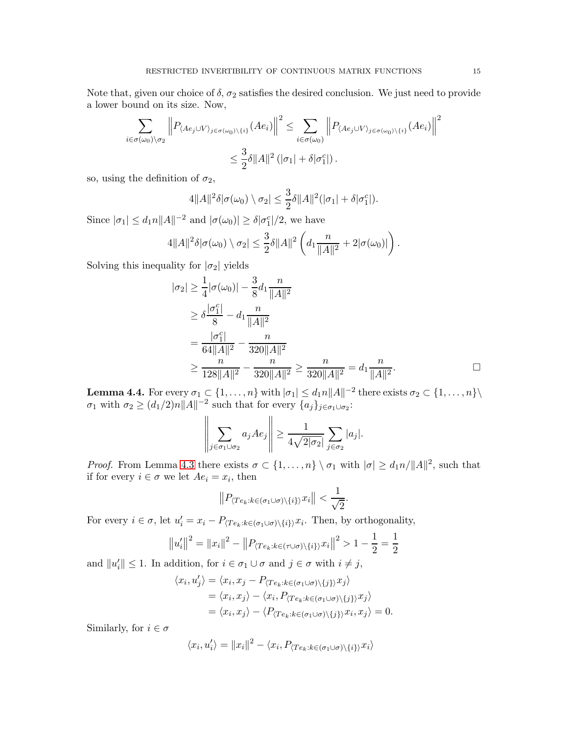Note that, given our choice of  $\delta$ ,  $\sigma_2$  satisfies the desired conclusion. We just need to provide a lower bound on its size. Now,

$$
\sum_{i \in \sigma(\omega_0) \setminus \sigma_2} \left\| P_{\langle Ae_j \cup V \rangle_{j \in \sigma(\omega_0) \setminus \{i\}}}(Ae_i) \right\|^2 \le \sum_{i \in \sigma(\omega_0)} \left\| P_{\langle Ae_j \cup V \rangle_{j \in \sigma(\omega_0) \setminus \{i\}}}(Ae_i) \right\|^2
$$
  

$$
\le \frac{3}{2} \delta \|A\|^2 \left( |\sigma_1| + \delta |\sigma_1^c| \right).
$$

so, using the definition of  $\sigma_2$ ,

$$
4||A||^2\delta|\sigma(\omega_0)\setminus\sigma_2|\leq \frac{3}{2}\delta||A||^2(|\sigma_1|+\delta|\sigma_1^c|).
$$

Since  $|\sigma_1| \leq d_1 n ||A||^{-2}$  and  $|\sigma(\omega_0)| \geq \delta |\sigma_1^c|/2$ , we have

$$
4||A||^2 \delta |\sigma(\omega_0) \setminus \sigma_2| \leq \frac{3}{2} \delta ||A||^2 \left( d_1 \frac{n}{||A||^2} + 2|\sigma(\omega_0)| \right).
$$

Solving this inequality for  $|\sigma_2|$  yields

$$
|\sigma_2| \ge \frac{1}{4} |\sigma(\omega_0)| - \frac{3}{8} d_1 \frac{n}{\|A\|^2}
$$
  
\n
$$
\ge \delta \frac{|\sigma_1^c|}{8} - d_1 \frac{n}{\|A\|^2}
$$
  
\n
$$
= \frac{|\sigma_1^c|}{64\|A\|^2} - \frac{n}{320\|A\|^2}
$$
  
\n
$$
\ge \frac{n}{128\|A\|^2} - \frac{n}{320\|A\|^2} \ge \frac{n}{320\|A\|^2} = d_1 \frac{n}{\|A\|^2}.
$$

<span id="page-14-0"></span>**Lemma 4.4.** For every  $\sigma_1 \subset \{1, \ldots, n\}$  with  $|\sigma_1| \leq d_1 n ||A||^{-2}$  there exists  $\sigma_2 \subset \{1, \ldots, n\}\setminus\{1, \ldots, n\}$  $\sigma_1$  with  $\sigma_2 \ge (d_1/2)n||A||^{-2}$  such that for every  $\{a_j\}_{j \in \sigma_1 \cup \sigma_2}$ :

$$
\left\|\sum_{j\in\sigma_1\cup\sigma_2}a_jAe_j\right\|\geq\frac{1}{4\sqrt{2|\sigma_2|}}\sum_{j\in\sigma_2}|a_j|.
$$

*Proof.* From Lemma [4.3](#page-11-1) there exists  $\sigma \subset \{1, \ldots, n\} \setminus \sigma_1$  with  $|\sigma| \geq d_1 n / ||A||^2$ , such that if for every  $i \in \sigma$  we let  $Ae_i = x_i$ , then

$$
||P_{\langle Te_k: k \in (\sigma_1 \cup \sigma) \setminus \{i\} \rangle} x_i|| < \frac{1}{\sqrt{2}}.
$$

For every  $i \in \sigma$ , let  $u'_i = x_i - P_{\langle Te_k : k \in (\sigma_1 \cup \sigma) \setminus \{i\} \rangle} x_i$ . Then, by orthogonality,

$$
||u'_i||^2 = ||x_i||^2 - ||P_{\langle Te_k: k \in (\tau \cup \sigma) \setminus \{i\} \rangle} x_i||^2 > 1 - \frac{1}{2} = \frac{1}{2}
$$

and  $||u'_i|| \leq 1$ . In addition, for  $i \in \sigma_1 \cup \sigma$  and  $j \in \sigma$  with  $i \neq j$ ,

$$
\langle x_i, u'_j \rangle = \langle x_i, x_j - P_{\langle Te_k : k \in (\sigma_1 \cup \sigma) \setminus \{j\} \rangle} x_j \rangle
$$
  
= 
$$
\langle x_i, x_j \rangle - \langle x_i, P_{\langle Te_k : k \in (\sigma_1 \cup \sigma) \setminus \{j\} \rangle} x_j \rangle
$$
  
= 
$$
\langle x_i, x_j \rangle - \langle P_{\langle Te_k : k \in (\sigma_1 \cup \sigma) \setminus \{j\} \rangle} x_i, x_j \rangle = 0.
$$

Similarly, for  $i \in \sigma$ 

$$
\langle x_i, u'_i \rangle = ||x_i||^2 - \langle x_i, P_{\langle Te_k : k \in (\sigma_1 \cup \sigma) \setminus \{i\}} x_i \rangle
$$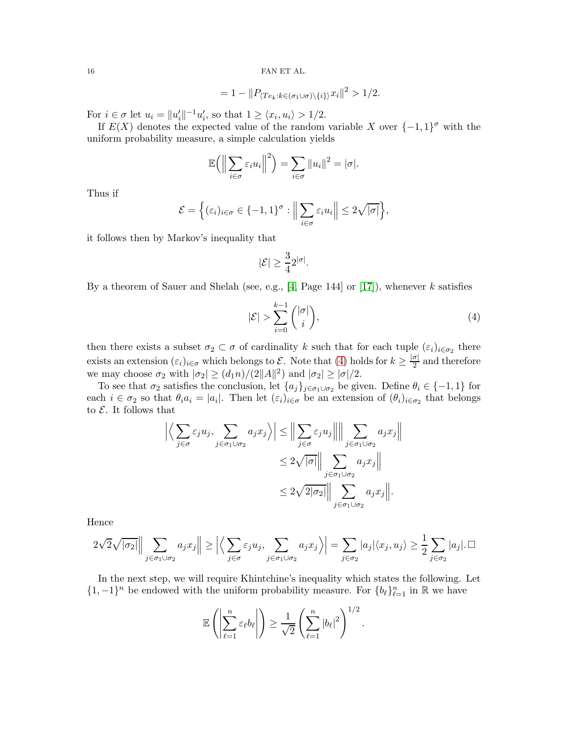$$
=1-\|P_{\langle Te_k:k\in(\sigma_1\cup\sigma)\setminus\{i\}\rangle}x_i\|^2>1/2.
$$

For  $i \in \sigma$  let  $u_i = ||u'_i||^{-1}u'_i$ , so that  $1 \ge \langle x_i, u_i \rangle > 1/2$ .

If  $E(X)$  denotes the expected value of the random variable X over  $\{-1,1\}^{\sigma}$  with the uniform probability measure, a simple calculation yields

$$
\mathbb{E}\Big(\Big\|\sum_{i\in\sigma}\varepsilon_i u_i\Big\|^2\Big)=\sum_{i\in\sigma}\|u_i\|^2=|\sigma|.
$$

Thus if

$$
\mathcal{E} = \Big\{ (\varepsilon_i)_{i \in \sigma} \in \{-1, 1\}^{\sigma} : \Big\| \sum_{i \in \sigma} \varepsilon_i u_i \Big\| \leq 2\sqrt{|\sigma|} \Big\},\
$$

it follows then by Markov's inequality that

$$
|\mathcal{E}|\geq \frac{3}{4}2^{|\sigma|}.
$$

By a theorem of Sauer and Shelah (see, e.g., [\[4,](#page-21-0) Page 144] or [\[17\]](#page-22-2)), whenever k satisfies

<span id="page-15-0"></span>
$$
|\mathcal{E}| > \sum_{i=0}^{k-1} \binom{|\sigma|}{i},\tag{4}
$$

then there exists a subset  $\sigma_2 \subset \sigma$  of cardinality k such that for each tuple  $(\varepsilon_i)_{i \in \sigma_2}$  there exists an extension  $(\varepsilon_i)_{i \in \sigma}$  which belongs to  $\mathcal{E}$ . Note that [\(4\)](#page-15-0) holds for  $k \geq \frac{|\sigma|}{2}$  $\frac{\sigma_1}{2}$  and therefore we may choose  $\sigma_2$  with  $|\sigma_2| \ge (d_1 n)/(2||A||^2)$  and  $|\sigma_2| \ge |\sigma|/2$ .

To see that  $\sigma_2$  satisfies the conclusion, let  $\{a_j\}_{j\in\sigma_1\cup\sigma_2}$  be given. Define  $\theta_i \in \{-1,1\}$  for each  $i \in \sigma_2$  so that  $\theta_i a_i = |a_i|$ . Then let  $(\varepsilon_i)_{i \in \sigma}$  be an extension of  $(\theta_i)_{i \in \sigma_2}$  that belongs to  $\mathcal E$ . It follows that

$$
\left| \left\langle \sum_{j \in \sigma} \varepsilon_j u_j, \sum_{j \in \sigma_1 \cup \sigma_2} a_j x_j \right\rangle \right| \leq \left\| \sum_{j \in \sigma} \varepsilon_j u_j \right\| \left\| \sum_{j \in \sigma_1 \cup \sigma_2} a_j x_j \right\|
$$
  

$$
\leq 2\sqrt{|\sigma|} \left\| \sum_{j \in \sigma_1 \cup \sigma_2} a_j x_j \right\|
$$
  

$$
\leq 2\sqrt{2|\sigma_2|} \left\| \sum_{j \in \sigma_1 \cup \sigma_2} a_j x_j \right\|.
$$

Hence

$$
2\sqrt{2}\sqrt{|\sigma_2|} \Big\| \sum_{j \in \sigma_1 \cup \sigma_2} a_j x_j \Big\| \ge \Big| \Big\langle \sum_{j \in \sigma} \varepsilon_j u_j, \sum_{j \in \sigma_1 \cup \sigma_2} a_j x_j \Big\rangle \Big| = \sum_{j \in \sigma_2} |a_j| \langle x_j, u_j \rangle \ge \frac{1}{2} \sum_{j \in \sigma_2} |a_j| \cdot \Box
$$

In the next step, we will require Khintchine's inequality which states the following. Let {1, −1}<sup>n</sup> be endowed with the uniform probability measure. For  ${b_\ell}_{\ell=1}^n$  in R we have

$$
\mathbb{E}\left(\left|\sum_{\ell=1}^n \varepsilon_\ell b_\ell\right|\right) \geq \frac{1}{\sqrt{2}} \left(\sum_{\ell=1}^n |b_\ell|^2\right)^{1/2}.
$$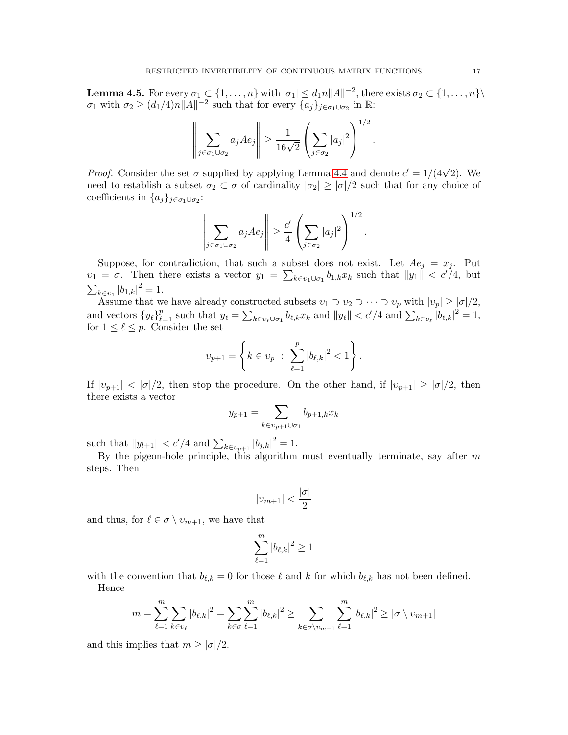<span id="page-16-0"></span>**Lemma 4.5.** For every  $\sigma_1 \subset \{1, \ldots, n\}$  with  $|\sigma_1| \leq d_1 n ||A||^{-2}$ , there exists  $\sigma_2 \subset \{1, \ldots, n\}\setminus\{1, \ldots, n\}$  $\sigma_1$  with  $\sigma_2 \ge (d_1/4)n||A||^{-2}$  such that for every  $\{a_j\}_{j \in \sigma_1 \cup \sigma_2}$  in  $\mathbb{R}$ :

$$
\left\|\sum_{j\in\sigma_1\cup\sigma_2}a_jAe_j\right\|\geq\frac{1}{16\sqrt{2}}\left(\sum_{j\in\sigma_2}|a_j|^2\right)^{1/2}.
$$

*Proof.* Consider the set  $\sigma$  supplied by applying Lemma [4.4](#page-14-0) and denote  $c' = 1/(4\sqrt{2})$ . We need to establish a subset  $\sigma_2 \subset \sigma$  of cardinality  $|\sigma_2| \geq |\sigma|/2$  such that for any choice of coefficients in  $\{a_j\}_{j\in\sigma_1\cup\sigma_2}$ :

$$
\left\|\sum_{j\in\sigma_1\cup\sigma_2}a_jAe_j\right\|\geq \frac{c'}{4}\left(\sum_{j\in\sigma_2}|a_j|^2\right)^{1/2}.
$$

Suppose, for contradiction, that such a subset does not exist. Let  $Ae_j = x_j$ . Put  $v_1 = \sigma$ . Then there exists a vector  $y_1 = \sum_{k \in v_1 \cup \sigma_1} b_{1,k} x_k$  such that  $||y_1|| < c'/4$ , but  $\sum_{k \in v_1} |b_{1,k}|^2 = 1.$ 

Assume that we have already constructed subsets  $v_1 \supset v_2 \supset \cdots \supset v_p$  with  $|v_p| \geq |\sigma|/2$ , and vectors  $\{y_\ell\}_{\ell=1}^p$  such that  $y_\ell = \sum_{k \in v_\ell \cup \sigma_1} b_{\ell,k} x_k$  and  $||y_\ell|| < c'/4$  and  $\sum_{k \in v_\ell} |b_{\ell,k}|^2 = 1$ , for  $1 \leq \ell \leq p$ . Consider the set

$$
v_{p+1} = \left\{ k \in v_p \; : \; \sum_{\ell=1}^p |b_{\ell,k}|^2 < 1 \right\}.
$$

If  $|v_{p+1}| < |\sigma|/2$ , then stop the procedure. On the other hand, if  $|v_{p+1}| \geq |\sigma|/2$ , then there exists a vector

$$
y_{p+1} = \sum_{k \in v_{p+1} \cup \sigma_1} b_{p+1,k} x_k
$$

such that  $||y_{l+1}|| < c'/4$  and  $\sum_{k \in v_{p+1}} |b_{j,k}|^2 = 1$ .

By the pigeon-hole principle, this algorithm must eventually terminate, say after  $m$ steps. Then

$$
|v_{m+1}| < \frac{|\sigma|}{2}
$$

and thus, for  $\ell \in \sigma \setminus v_{m+1}$ , we have that

$$
\sum_{\ell=1}^m |b_{\ell,k}|^2 \ge 1
$$

with the convention that  $b_{\ell,k} = 0$  for those  $\ell$  and  $k$  for which  $b_{\ell,k}$  has not been defined. Hence

$$
m = \sum_{\ell=1}^{m} \sum_{k \in v_{\ell}} |b_{\ell,k}|^2 = \sum_{k \in \sigma} \sum_{\ell=1}^{m} |b_{\ell,k}|^2 \ge \sum_{k \in \sigma \setminus v_{m+1}} \sum_{\ell=1}^{m} |b_{\ell,k}|^2 \ge |\sigma \setminus v_{m+1}|
$$

and this implies that  $m \geq |\sigma|/2$ .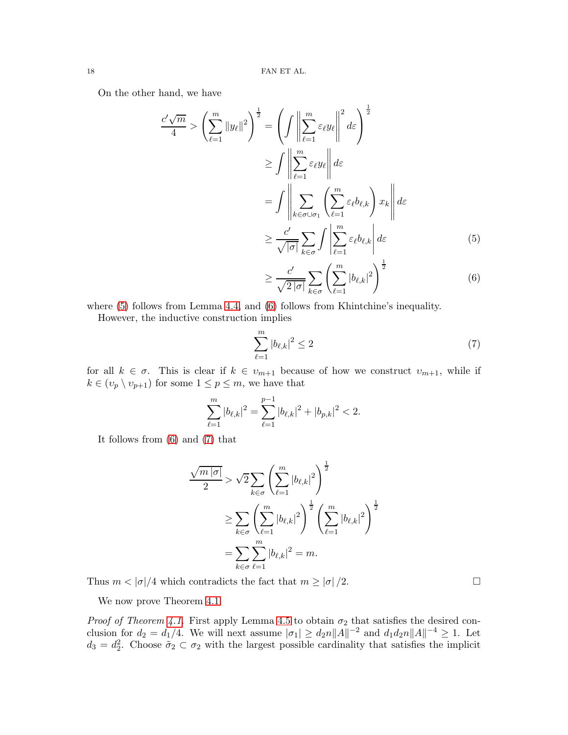On the other hand, we have

$$
\frac{c'\sqrt{m}}{4} > \left(\sum_{\ell=1}^{m} \|y_{\ell}\|^2\right)^{\frac{1}{2}} = \left(\int \left\|\sum_{\ell=1}^{m} \varepsilon_{\ell} y_{\ell}\right\|^2 d\varepsilon\right)^{\frac{1}{2}}
$$

$$
\geq \int \left\|\sum_{\ell=1}^{m} \varepsilon_{\ell} y_{\ell}\right\| d\varepsilon
$$

$$
= \int \left\|\sum_{k \in \sigma \cup \sigma_1}^{m} \left(\sum_{\ell=1}^{m} \varepsilon_{\ell} b_{\ell,k}\right) x_k\right\| d\varepsilon
$$

$$
\geq \frac{c'}{\sqrt{|\sigma|}} \sum_{k \in \sigma} \int \left\|\sum_{\ell=1}^{m} \varepsilon_{\ell} b_{\ell,k}\right| d\varepsilon \qquad (5)
$$

<span id="page-17-1"></span><span id="page-17-0"></span>
$$
\geq \frac{c'}{\sqrt{2|\sigma|}} \sum_{k \in \sigma} \left( \sum_{\ell=1}^m |b_{\ell,k}|^2 \right)^{\frac{1}{2}} \tag{6}
$$

where  $(5)$  follows from Lemma [4.4,](#page-14-0) and  $(6)$  follows from Khintchine's inequality.

However, the inductive construction implies

<span id="page-17-2"></span>
$$
\sum_{\ell=1}^{m} |b_{\ell,k}|^2 \le 2
$$
 (7)

for all  $k \in \sigma$ . This is clear if  $k \in v_{m+1}$  because of how we construct  $v_{m+1}$ , while if  $k \in (v_p \setminus v_{p+1})$  for some  $1 \leq p \leq m$ , we have that

$$
\sum_{\ell=1}^m |b_{\ell,k}|^2 = \sum_{\ell=1}^{p-1} |b_{\ell,k}|^2 + |b_{p,k}|^2 < 2.
$$

It follows from [\(6\)](#page-17-1) and [\(7\)](#page-17-2) that

$$
\frac{\sqrt{m |\sigma|}}{2} > \sqrt{2} \sum_{k \in \sigma} \left( \sum_{\ell=1}^{m} |b_{\ell,k}|^2 \right)^{\frac{1}{2}}
$$
  

$$
\geq \sum_{k \in \sigma} \left( \sum_{\ell=1}^{m} |b_{\ell,k}|^2 \right)^{\frac{1}{2}} \left( \sum_{\ell=1}^{m} |b_{\ell,k}|^2 \right)^{\frac{1}{2}}
$$
  

$$
= \sum_{k \in \sigma} \sum_{\ell=1}^{m} |b_{\ell,k}|^2 = m.
$$

Thus  $m < |\sigma|/4$  which contradicts the fact that  $m \ge |\sigma|/2$ .

We now prove Theorem [4.1.](#page-11-2)

*Proof of Theorem [4.1.](#page-11-2)* First apply Lemma [4.5](#page-16-0) to obtain  $\sigma_2$  that satisfies the desired conclusion for  $d_2 = d_1/4$ . We will next assume  $|\sigma_1| \geq d_2 n ||A||^{-2}$  and  $d_1 d_2 n ||A||^{-4} \geq 1$ . Let  $d_3 = d_2^2$ . Choose  $\tilde{\sigma}_2 \subset \sigma_2$  with the largest possible cardinality that satisfies the implicit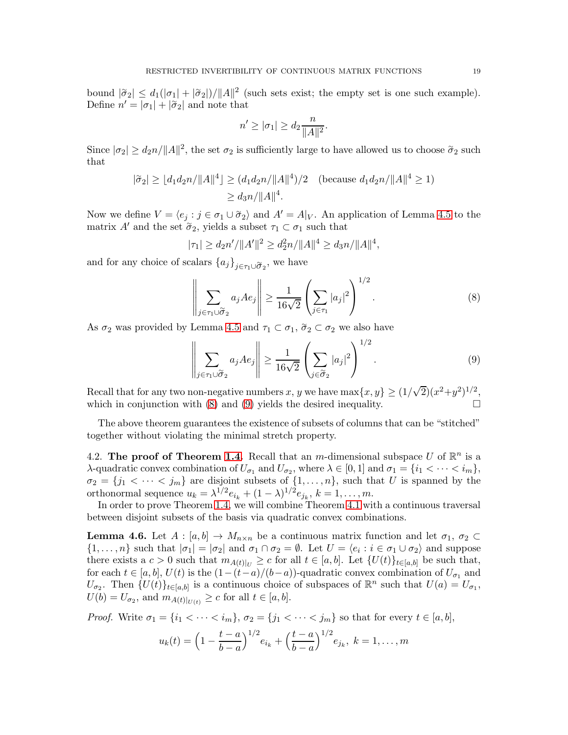bound  $|\tilde{\sigma}_2| \leq d_1(|\sigma_1| + |\tilde{\sigma}_2|)/||A||^2$  (such sets exist; the empty set is one such example). Define  $n' = |\sigma_1| + |\tilde{\sigma}_2|$  and note that

$$
n' \geq |\sigma_1| \geq d_2 \frac{n}{\|A\|^2}.
$$

Since  $|\sigma_2| \ge d_2 n / ||A||^2$ , the set  $\sigma_2$  is sufficiently large to have allowed us to choose  $\tilde{\sigma}_2$  such that

$$
|\tilde{\sigma}_2| \ge |d_1 d_2 n / ||A||^4 \ge (d_1 d_2 n / ||A||^4) / 2 \quad \text{(because } d_1 d_2 n / ||A||^4 \ge 1)
$$
  

$$
\ge d_3 n / ||A||^4.
$$

Now we define  $V = \langle e_j : j \in \sigma_1 \cup \tilde{\sigma}_2 \rangle$  and  $A' = A|_V$ . An application of Lemma [4.5](#page-16-0) to the matrix A' and the set  $\tilde{\sigma}_2$ , yields a subset  $\tau_1 \subset \sigma_1$  such that

$$
|\tau_1| \ge d_2 n' / \|A'\|^2 \ge d_2^2 n / \|A\|^4 \ge d_3 n / \|A\|^4,
$$

and for any choice of scalars  ${a_j}_{j \in \tau_1 \cup \widetilde{\sigma}_2}$ , we have

<span id="page-18-0"></span>
$$
\left\| \sum_{j \in \tau_1 \cup \widetilde{\sigma}_2} a_j A e_j \right\| \ge \frac{1}{16\sqrt{2}} \left( \sum_{j \in \tau_1} |a_j|^2 \right)^{1/2}.
$$
 (8)

As  $\sigma_2$  was provided by Lemma [4.5](#page-16-0) and  $\tau_1 \subset \sigma_1$ ,  $\tilde{\sigma}_2 \subset \sigma_2$  we also have

<span id="page-18-1"></span>
$$
\left\| \sum_{j \in \tau_1 \cup \widetilde{\sigma}_2} a_j A e_j \right\| \ge \frac{1}{16\sqrt{2}} \left( \sum_{j \in \widetilde{\sigma}_2} |a_j|^2 \right)^{1/2}.
$$
 (9)

Recall that for any two non-negative numbers x, y we have  $\max\{x, y\} \ge (1/\sqrt{2})(x^2+y^2)^{1/2}$ , which in conjunction with  $(8)$  and  $(9)$  yields the desired inequality.

The above theorem guarantees the existence of subsets of columns that can be "stitched" together without violating the minimal stretch property.

4.2. The proof of Theorem [1.4.](#page-2-1) Recall that an m-dimensional subspace U of  $\mathbb{R}^n$  is a λ-quadratic convex combination of  $U_{\sigma_1}$  and  $U_{\sigma_2}$ , where  $\lambda \in [0,1]$  and  $\sigma_1 = \{i_1 < \cdots < i_m\}$ ,  $\sigma_2 = \{j_1 < \cdots < j_m\}$  are disjoint subsets of  $\{1, \ldots, n\}$ , such that U is spanned by the orthonormal sequence  $u_k = \lambda^{1/2} e_{i_k} + (1 - \lambda)^{1/2} e_{j_k}, k = 1, \ldots, m.$ 

In order to prove Theorem [1.4,](#page-2-1) we will combine Theorem [4.1](#page-11-2) with a continuous traversal between disjoint subsets of the basis via quadratic convex combinations.

<span id="page-18-2"></span>**Lemma 4.6.** Let  $A : [a, b] \to M_{n \times n}$  be a continuous matrix function and let  $\sigma_1, \sigma_2 \subset$  $\{1,\ldots,n\}$  such that  $|\sigma_1| = |\sigma_2|$  and  $\sigma_1 \cap \sigma_2 = \emptyset$ . Let  $U = \langle e_i : i \in \sigma_1 \cup \sigma_2 \rangle$  and suppose there exists a  $c > 0$  such that  $m_{A(t)|U} \geq c$  for all  $t \in [a, b]$ . Let  $\{U(t)\}_{t \in [a, b]}$  be such that, for each  $t \in [a, b], U(t)$  is the  $(1 - (t - a)/(b - a))$ -quadratic convex combination of  $U_{\sigma_1}$  and  $U_{\sigma_2}$ . Then  $\{U(t)\}_{t\in[a,b]}$  is a continuous choice of subspaces of  $\mathbb{R}^n$  such that  $U(a) = U_{\sigma_1}$ ,  $U(b) = U_{\sigma_2}$ , and  $m_{A(t)|_{U(t)}} \ge c$  for all  $t \in [a, b]$ .

*Proof.* Write  $\sigma_1 = \{i_1 < \cdots < i_m\}, \sigma_2 = \{j_1 < \cdots < j_m\}$  so that for every  $t \in [a, b]$ ,

$$
u_k(t) = \left(1 - \frac{t-a}{b-a}\right)^{1/2} e_{i_k} + \left(\frac{t-a}{b-a}\right)^{1/2} e_{j_k}, \ k = 1, \dots, m
$$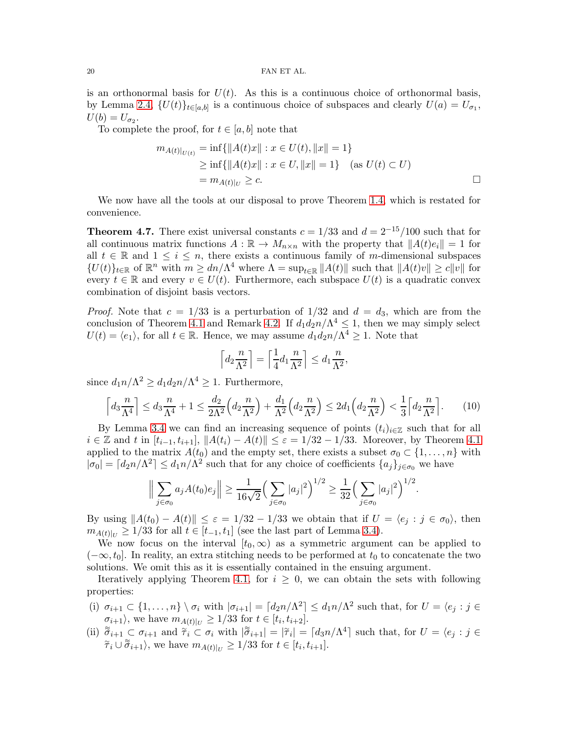is an orthonormal basis for  $U(t)$ . As this is a continuous choice of orthonormal basis, by Lemma [2.4,](#page-4-5)  $\{U(t)\}_{t\in[a,b]}$  is a continuous choice of subspaces and clearly  $U(a) = U_{\sigma_1}$ ,  $U(b)=U_{\sigma_2}.$ 

To complete the proof, for  $t \in [a, b]$  note that

$$
m_{A(t)|_{U(t)}} = \inf \{ ||A(t)x|| : x \in U(t), ||x|| = 1 \}
$$
  
\n
$$
\geq \inf \{ ||A(t)x|| : x \in U, ||x|| = 1 \} \quad \text{(as } U(t) \subset U)
$$
  
\n
$$
= m_{A(t)|_U} \geq c.
$$

We now have all the tools at our disposal to prove Theorem [1.4,](#page-2-1) which is restated for convenience.

**Theorem 4.7.** There exist universal constants  $c = 1/33$  and  $d = 2^{-15}/100$  such that for all continuous matrix functions  $A : \mathbb{R} \to M_{n \times n}$  with the property that  $||A(t)e_i|| = 1$  for all  $t \in \mathbb{R}$  and  $1 \leq i \leq n$ , there exists a continuous family of m-dimensional subspaces  ${U(t)}_{t\in\mathbb{R}}$  of  $\mathbb{R}^n$  with  $m \geq dn/\Lambda^4$  where  $\Lambda = \sup_{t\in\mathbb{R}} ||A(t)||$  such that  $||A(t)v|| \geq c||v||$  for every  $t \in \mathbb{R}$  and every  $v \in U(t)$ . Furthermore, each subspace  $U(t)$  is a quadratic convex combination of disjoint basis vectors.

*Proof.* Note that  $c = 1/33$  is a perturbation of  $1/32$  and  $d = d_3$ , which are from the conclusion of Theorem [4.1](#page-11-2) and Remark [4.2.](#page-11-3) If  $d_1 d_2 n / \Lambda^4 \leq 1$ , then we may simply select  $U(t) = \langle e_1 \rangle$ , for all  $t \in \mathbb{R}$ . Hence, we may assume  $d_1 d_2 n / \Lambda^4 \geq 1$ . Note that

<span id="page-19-0"></span>
$$
\left\lceil d_2 \frac{n}{\Lambda^2} \right\rceil = \left\lceil \frac{1}{4} d_1 \frac{n}{\Lambda^2} \right\rceil \le d_1 \frac{n}{\Lambda^2},
$$

since  $d_1 n/\Lambda^2 \geq d_1 d_2 n/\Lambda^4 \geq 1$ . Furthermore,

$$
\left\lceil d_3 \frac{n}{\Lambda^4} \right\rceil \le d_3 \frac{n}{\Lambda^4} + 1 \le \frac{d_2}{2\Lambda^2} \left( d_2 \frac{n}{\Lambda^2} \right) + \frac{d_1}{\Lambda^2} \left( d_2 \frac{n}{\Lambda^2} \right) \le 2d_1 \left( d_2 \frac{n}{\Lambda^2} \right) < \frac{1}{3} \left\lceil d_2 \frac{n}{\Lambda^2} \right\rceil. \tag{10}
$$

By Lemma [3.4](#page-7-2) we can find an increasing sequence of points  $(t_i)_{i\in\mathbb{Z}}$  such that for all  $i \in \mathbb{Z}$  and t in  $[t_{i-1}, t_{i+1}], ||A(t_i) - A(t)|| \leq \varepsilon = 1/32 - 1/33.$  Moreover, by Theorem [4.1](#page-11-2) applied to the matrix  $A(t_0)$  and the empty set, there exists a subset  $\sigma_0 \subset \{1, \ldots, n\}$  with  $|\sigma_0| = [d_2 n/\Lambda^2] \leq d_1 n/\Lambda^2$  such that for any choice of coefficients  $\{a_j\}_{j \in \sigma_0}$  we have

$$
\Big\|\sum_{j\in\sigma_0} a_j A(t_0) e_j\Big\| \ge \frac{1}{16\sqrt{2}} \Big(\sum_{j\in\sigma_0} |a_j|^2\Big)^{1/2} \ge \frac{1}{32} \Big(\sum_{j\in\sigma_0} |a_j|^2\Big)^{1/2}.
$$

By using  $||A(t_0) - A(t)|| \leq \varepsilon = 1/32 - 1/33$  we obtain that if  $U = \langle e_j : j \in \sigma_0 \rangle$ , then  $m_{A(t)|_{U}} \ge 1/33$  for all  $t \in [t_{-1}, t_1]$  (see the last part of Lemma [3.4\)](#page-7-2).

We now focus on the interval  $[t_0,\infty)$  as a symmetric argument can be applied to  $(-\infty, t_0]$ . In reality, an extra stitching needs to be performed at  $t_0$  to concatenate the two solutions. We omit this as it is essentially contained in the ensuing argument.

Iteratively applying Theorem [4.1,](#page-11-2) for  $i \geq 0$ , we can obtain the sets with following properties:

- (i)  $\sigma_{i+1} \subset \{1, \ldots, n\} \setminus \sigma_i$  with  $|\sigma_{i+1}| = \lceil d_2 n/\Lambda^2 \rceil \leq d_1 n/\Lambda^2$  such that, for  $U = \langle e_j : j \in \mathbb{R} \rangle$  $\sigma_{i+1}$ , we have  $m_{A(t)|_{U}} \geq 1/33$  for  $t \in [t_{i}, t_{i+2}]$ .
- (ii)  $\tilde{\sigma}_{i+1} \subset \sigma_{i+1}$  and  $\tilde{\tau}_i \subset \sigma_i$  with  $|\tilde{\sigma}_{i+1}| = |\tilde{\tau}_i| = |d_{3}n/\Lambda^4|$  such that, for  $U = \langle e_j : j \in \Lambda^4 \rangle$  $\tilde{\tau}_i \cup \tilde{\sigma}_{i+1}$ , we have  $m_{A(t)|_U} \geq 1/33$  for  $t \in [t_i, t_{i+1}]$ .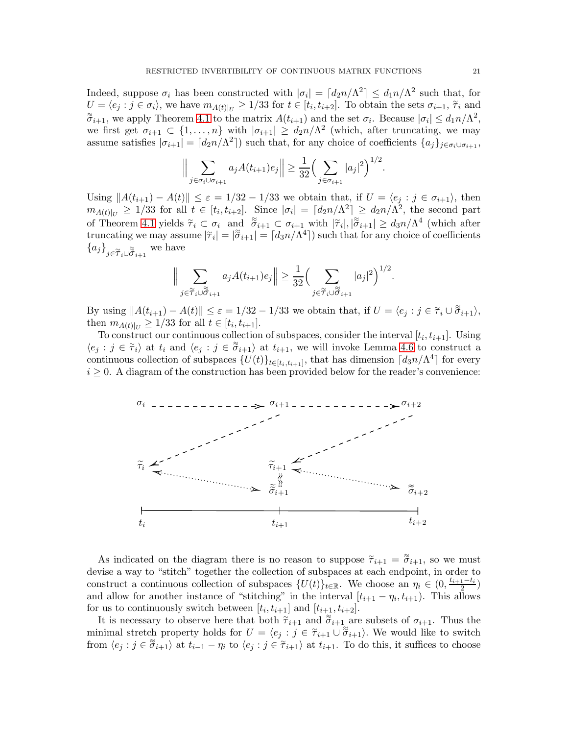Indeed, suppose  $\sigma_i$  has been constructed with  $|\sigma_i| = \lceil d_2 n/\Lambda^2 \rceil \leq d_1 n/\Lambda^2$  such that, for  $U = \langle e_j : j \in \sigma_i \rangle$ , we have  $m_{A(t)|_U} \geq 1/33$  for  $t \in [t_i, t_{i+2}]$ . To obtain the sets  $\sigma_{i+1}$ ,  $\tilde{\tau}_i$  and  $\widetilde{\sigma}_{i+1}$ , we apply Theorem [4.1](#page-11-2) to the matrix  $A(t_{i+1})$  and the set  $\sigma_i$ . Because  $|\sigma_i| \leq d_1 n/\Lambda^2$ , we first get  $\sigma_{i+1} \subset \{1,\ldots,n\}$  with  $|\sigma_{i+1}| \geq d_2n/\Lambda^2$  (which, after truncating, we may assume satisfies  $|\sigma_{i+1}| = [d_2 n/\Lambda^2]$  such that, for any choice of coefficients  $\{a_j\}_{j \in \sigma_i \cup \sigma_{i+1}}$ ,

$$
\Big\|\sum_{j \in \sigma_i \cup \sigma_{i+1}} a_j A(t_{i+1}) e_j\Big\| \ge \frac{1}{32} \Big(\sum_{j \in \sigma_{i+1}} |a_j|^2\Big)^{1/2}.
$$

Using  $||A(t_{i+1}) - A(t)|| \leq \varepsilon = 1/32 - 1/33$  we obtain that, if  $U = \langle e_j : j \in \sigma_{i+1} \rangle$ , then  $m_{A(t)|_U} \ge 1/33$  for all  $t \in [t_i, t_{i+2}]$ . Since  $|\sigma_i| = \lceil d_{2}n/\Lambda^2 \rceil \ge d_{2}n/\Lambda^2$ , the second part of Theorem [4.1](#page-11-2) yields  $\tilde{\tau}_i \subset \sigma_i$  and  $\tilde{\sigma}_{i+1} \subset \sigma_{i+1}$  with  $|\tilde{\tau}_i|, |\tilde{\sigma}_{i+1}| \geq d_3n/\Lambda^4$  (which after truncating we may assume  $|\tilde{\tau}_i| = |\tilde{\sigma}_{i+1}| = [d_3 n/\Lambda^4]$  such that for any choice of coefficients  ${a_j}_{j \in \widetilde{\tau}_i \cup \widetilde{\sigma}_{i+1}}$  we have

$$
\Big\|\sum_{j\in\widetilde{\mathcal{T}}_i\cup\widetilde{\widetilde{\mathcal{O}}}_{i+1}}a_jA(t_{i+1})e_j\Big\|\geq\frac{1}{32}\Big(\sum_{j\in\widetilde{\mathcal{T}}_i\cup\widetilde{\widetilde{\mathcal{O}}}_{i+1}}|a_j|^2\Big)^{1/2}.
$$

By using  $||A(t_{i+1}) - A(t)|| \leq \varepsilon = 1/32 - 1/33$  we obtain that, if  $U = \langle e_j : j \in \tilde{\tau}_i \cup \tilde{\sigma}_{i+1} \rangle$ , then  $m_{A(t)|_U} \ge 1/33$  for all  $t \in [t_i, t_{i+1}].$ 

To construct our continuous collection of subspaces, consider the interval  $[t_i, t_{i+1}]$ . Using  $\langle e_j : j \in \tilde{\tau}_i \rangle$  at  $t_i$  and  $\langle e_j : j \in \tilde{\sigma}_{i+1} \rangle$  at  $t_{i+1}$ , we will invoke Lemma [4.6](#page-18-2) to construct a continuous collection of subspaces  $\{U(t)\}_{t\in[t_i,t_{i+1}]}$ , that has dimension  $\lceil d_3n/\Lambda^4\rceil$  for every  $i \geq 0$ . A diagram of the construction has been provided below for the reader's convenience:



As indicated on the diagram there is no reason to suppose  $\tilde{\tau}_{i+1} = \tilde{\sigma}_{i+1}$ , so we must devise a way to "stitch" together the collection of subspaces at each endpoint, in order to construct a continuous collection of subspaces  $\{U(t)\}_{t\in\mathbb{R}}$ . We choose an  $\eta_i \in (0, \frac{t_{i+1}-t_i}{2})$  $\frac{1-t_i}{2}$ and allow for another instance of "stitching" in the interval  $[t_{i+1} - \eta_i, t_{i+1})$ . This allows for us to continuously switch between  $[t_i, t_{i+1}]$  and  $[t_{i+1}, t_{i+2}]$ .

It is necessary to observe here that both  $\tilde{\tau}_{i+1}$  and  $\tilde{\sigma}_{i+1}$  are subsets of  $\sigma_{i+1}$ . Thus the minimal stretch property holds for  $U = \langle e_j : j \in \tilde{\tau}_{i+1} \cup \tilde{\sigma}_{i+1} \rangle$ . We would like to switch from  $\langle e_j : j \in \tilde{\sigma}_{i+1} \rangle$  at  $t_{i-1} - \eta_i$  to  $\langle e_j : j \in \tilde{\tau}_{i+1} \rangle$  at  $t_{i+1}$ . To do this, it suffices to choose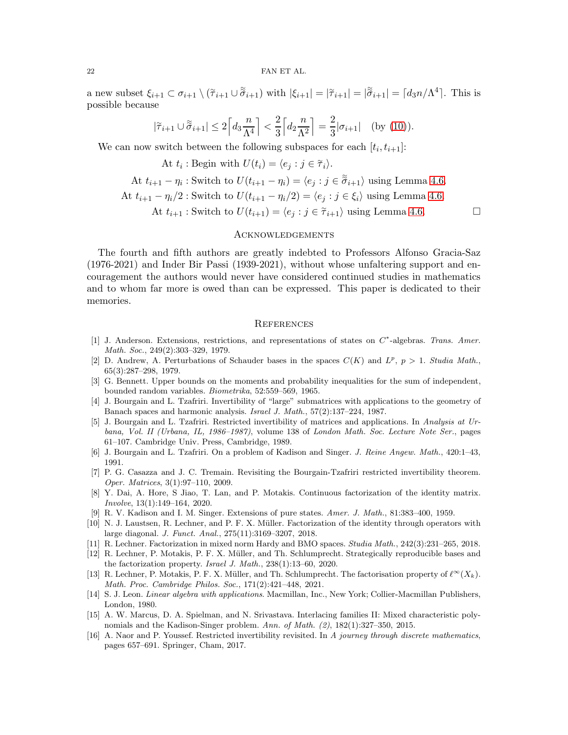a new subset  $\xi_{i+1} \subset \sigma_{i+1} \setminus (\tilde{\tau}_{i+1} \cup \tilde{\sigma}_{i+1})$  with  $|\xi_{i+1}| = |\tilde{\tau}_{i+1}| = |\tilde{\sigma}_{i+1}| = \lceil d_3 n / \Lambda^4 \rceil$ . This is possible because

$$
|\widetilde{\tau}_{i+1} \cup \widetilde{\sigma}_{i+1}| \le 2\left\lceil d_3 \frac{n}{\Lambda^4} \right\rceil < \frac{2}{3} \left\lceil d_2 \frac{n}{\Lambda^2} \right\rceil = \frac{2}{3} |\sigma_{i+1}| \quad \text{(by (10))}.
$$

We can now switch between the following subspaces for each  $[t_i, t_{i+1}]$ :

At  $t_i$ : Begin with  $U(t_i) = \langle e_j : j \in \tilde{\tau}_i \rangle$ .

At 
$$
t_{i+1} - \eta_i
$$
: Switch to  $U(t_{i+1} - \eta_i) = \langle e_j : j \in \tilde{\sigma}_{i+1} \rangle$  using Lemma 4.6.

At 
$$
t_{i+1} - \eta_i/2
$$
: Switch to  $U(t_{i+1} - \eta_i/2) = \langle e_j : j \in \xi_i \rangle$  using Lemma 4.6.

At  $t_{i+1}$ : Switch to  $U(t_{i+1}) = \langle e_j : j \in \tilde{\tau}_{i+1} \rangle$  using Lemma [4.6.](#page-18-2)

#### **ACKNOWLEDGEMENTS**

The fourth and fifth authors are greatly indebted to Professors Alfonso Gracia-Saz (1976-2021) and Inder Bir Passi (1939-2021), without whose unfaltering support and encouragement the authors would never have considered continued studies in mathematics and to whom far more is owed than can be expressed. This paper is dedicated to their memories.

#### **REFERENCES**

- <span id="page-21-4"></span>[1] J. Anderson. Extensions, restrictions, and representations of states on  $C^*$ -algebras. Trans. Amer. Math. Soc., 249(2):303–329, 1979.
- <span id="page-21-8"></span>[2] D. Andrew, A. Perturbations of Schauder bases in the spaces  $C(K)$  and  $L^p$ ,  $p > 1$ . Studia Math., 65(3):287–298, 1979.
- <span id="page-21-15"></span>[3] G. Bennett. Upper bounds on the moments and probability inequalities for the sum of independent, bounded random variables. Biometrika, 52:559–569, 1965.
- <span id="page-21-0"></span>[4] J. Bourgain and L. Tzafriri. Invertibility of "large" submatrices with applications to the geometry of Banach spaces and harmonic analysis. Israel J. Math., 57(2):137–224, 1987.
- <span id="page-21-1"></span>[5] J. Bourgain and L. Tzafriri. Restricted invertibility of matrices and applications. In Analysis at Urbana, Vol. II (Urbana, IL, 1986–1987), volume 138 of London Math. Soc. Lecture Note Ser., pages 61–107. Cambridge Univ. Press, Cambridge, 1989.
- <span id="page-21-5"></span><span id="page-21-2"></span>[6] J. Bourgain and L. Tzafriri. On a problem of Kadison and Singer. J. Reine Angew. Math., 420:1–43, 1991.
- [7] P. G. Casazza and J. C. Tremain. Revisiting the Bourgain-Tzafriri restricted invertibility theorem. Oper. Matrices, 3(1):97–110, 2009.
- <span id="page-21-13"></span>[8] Y. Dai, A. Hore, S Jiao, T. Lan, and P. Motakis. Continuous factorization of the identity matrix. Involve, 13(1):149–164, 2020.
- <span id="page-21-9"></span><span id="page-21-3"></span>[9] R. V. Kadison and I. M. Singer. Extensions of pure states. Amer. J. Math., 81:383–400, 1959.
- [10] N. J. Laustsen, R. Lechner, and P. F. X. Müller. Factorization of the identity through operators with large diagonal. J. Funct. Anal., 275(11):3169–3207, 2018.
- <span id="page-21-11"></span><span id="page-21-10"></span>[11] R. Lechner. Factorization in mixed norm Hardy and BMO spaces. Studia Math., 242(3):231–265, 2018.
- [12] R. Lechner, P. Motakis, P. F. X. Müller, and Th. Schlumprecht. Strategically reproducible bases and the factorization property. Israel J. Math., 238(1):13–60, 2020.
- <span id="page-21-12"></span>[13] R. Lechner, P. Motakis, P. F. X. Müller, and Th. Schlumprecht. The factorisation property of  $\ell^{\infty}(X_k)$ . Math. Proc. Cambridge Philos. Soc., 171(2):421–448, 2021.
- <span id="page-21-14"></span>[14] S. J. Leon. Linear algebra with applications. Macmillan, Inc., New York; Collier-Macmillan Publishers, London, 1980.
- <span id="page-21-7"></span>[15] A. W. Marcus, D. A. Spielman, and N. Srivastava. Interlacing families II: Mixed characteristic polynomials and the Kadison-Singer problem. Ann. of Math. (2), 182(1):327–350, 2015.
- <span id="page-21-6"></span>[16] A. Naor and P. Youssef. Restricted invertibility revisited. In A journey through discrete mathematics, pages 657–691. Springer, Cham, 2017.